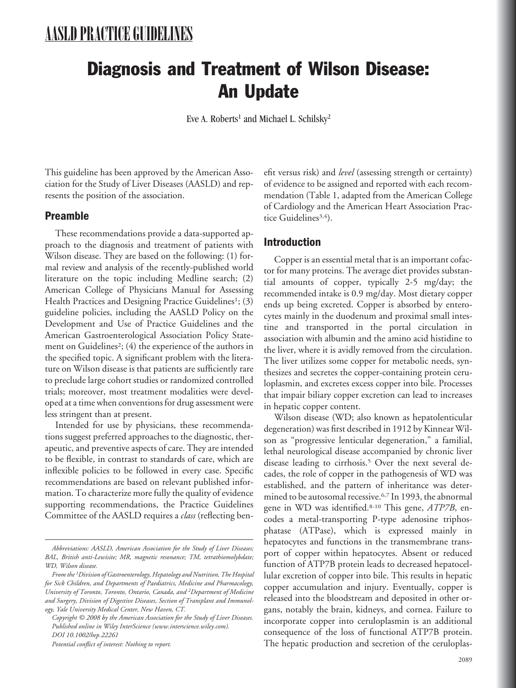## AASLD PRACTICE GUIDELINES

# Diagnosis and Treatment of Wilson Disease: An Update

Eve A. Roberts<sup>1</sup> and Michael L. Schilsky<sup>2</sup>

This guideline has been approved by the American Association for the Study of Liver Diseases (AASLD) and represents the position of the association.

## **Preamble**

These recommendations provide a data-supported approach to the diagnosis and treatment of patients with Wilson disease. They are based on the following: (1) formal review and analysis of the recently-published world literature on the topic including Medline search; (2) American College of Physicians Manual for Assessing Health Practices and Designing Practice Guidelines<sup>1</sup>; (3) guideline policies, including the AASLD Policy on the Development and Use of Practice Guidelines and the American Gastroenterological Association Policy Statement on Guidelines<sup>2</sup>; (4) the experience of the authors in the specified topic. A significant problem with the literature on Wilson disease is that patients are sufficiently rare to preclude large cohort studies or randomized controlled trials; moreover, most treatment modalities were developed at a time when conventions for drug assessment were less stringent than at present.

Intended for use by physicians, these recommendations suggest preferred approaches to the diagnostic, therapeutic, and preventive aspects of care. They are intended to be flexible, in contrast to standards of care, which are inflexible policies to be followed in every case. Specific recommendations are based on relevant published information. To characterize more fully the quality of evidence supporting recommendations, the Practice Guidelines Committee of the AASLD requires a *class* (reflecting benefit versus risk) and *level* (assessing strength or certainty) of evidence to be assigned and reported with each recommendation (Table 1, adapted from the American College of Cardiology and the American Heart Association Practice Guidelines<sup>3,4</sup>).

## **Introduction**

Copper is an essential metal that is an important cofactor for many proteins. The average diet provides substantial amounts of copper, typically 2-5 mg/day; the recommended intake is 0.9 mg/day. Most dietary copper ends up being excreted. Copper is absorbed by enterocytes mainly in the duodenum and proximal small intestine and transported in the portal circulation in association with albumin and the amino acid histidine to the liver, where it is avidly removed from the circulation. The liver utilizes some copper for metabolic needs, synthesizes and secretes the copper-containing protein ceruloplasmin, and excretes excess copper into bile. Processes that impair biliary copper excretion can lead to increases in hepatic copper content.

Wilson disease (WD; also known as hepatolenticular degeneration) was first described in 1912 by Kinnear Wilson as "progressive lenticular degeneration," a familial, lethal neurological disease accompanied by chronic liver disease leading to cirrhosis.<sup>5</sup> Over the next several decades, the role of copper in the pathogenesis of WD was established, and the pattern of inheritance was determined to be autosomal recessive.6,7 In 1993, the abnormal gene in WD was identified.8-10 This gene, *ATP7B*, encodes a metal-transporting P-type adenosine triphosphatase (ATPase), which is expressed mainly in hepatocytes and functions in the transmembrane transport of copper within hepatocytes. Absent or reduced function of ATP7B protein leads to decreased hepatocellular excretion of copper into bile. This results in hepatic copper accumulation and injury. Eventually, copper is released into the bloodstream and deposited in other organs, notably the brain, kidneys, and cornea. Failure to incorporate copper into ceruloplasmin is an additional consequence of the loss of functional ATP7B protein. The hepatic production and secretion of the ceruloplas-

*Abbreviations: AASLD, American Association for the Study of Liver Diseases; BAL, British anti-Lewisite; MR, magnetic resonance; TM, tetrathiomolybdate; WD, Wilson disease.*

*From the 1Division of Gastroenterology, Hepatology and Nutrition, The Hospital for Sick Children, and Departments of Paediatrics, Medicine and Pharmacology, University of Toronto, Toronto, Ontario, Canada, and 2Department of Medicine and Surgery, Division of Digestive Diseases, Section of Transplant and Immunology, Yale University Medical Center, New Haven, CT.*

*Copyright © 2008 by the American Association for the Study of Liver Diseases. Published online in Wiley InterScience (www.interscience.wiley.com). DOI 10.1002/hep.22261*

*Potential conflict of interest: Nothing to report.*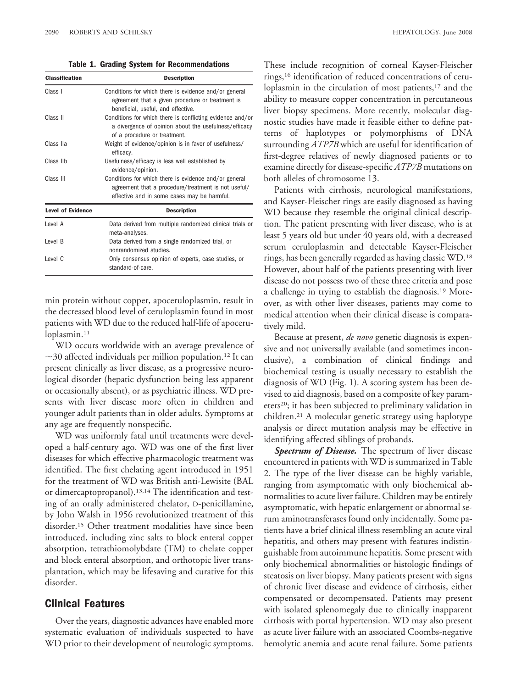| <b>Classification</b>    | <b>Description</b>                                                                                                                                          |  |  |  |
|--------------------------|-------------------------------------------------------------------------------------------------------------------------------------------------------------|--|--|--|
| Class I                  | Conditions for which there is evidence and/or general<br>agreement that a given procedure or treatment is<br>beneficial, useful, and effective.             |  |  |  |
| Class II                 | Conditions for which there is conflicting evidence and/or<br>a divergence of opinion about the usefulness/efficacy<br>of a procedure or treatment.          |  |  |  |
| Class IIa                | Weight of evidence/opinion is in favor of usefulness/<br>efficacy.                                                                                          |  |  |  |
| Class IIb                | Usefulness/efficacy is less well established by<br>evidence/opinion.                                                                                        |  |  |  |
| Class III                | Conditions for which there is evidence and/or general<br>agreement that a procedure/treatment is not useful/<br>effective and in some cases may be harmful. |  |  |  |
| <b>Level of Evidence</b> | <b>Description</b>                                                                                                                                          |  |  |  |
| Level A                  | Data derived from multiple randomized clinical trials or<br>meta-analyses.                                                                                  |  |  |  |
| $I$ and $D$              | Data derived from a cingle randomized trial or                                                                                                              |  |  |  |

| <b>Data donvou nom maigpio randomizou omnoar grap o</b>                  |  |
|--------------------------------------------------------------------------|--|
| meta-analyses.                                                           |  |
| Data derived from a single randomized trial, or                          |  |
| nonrandomized studies.                                                   |  |
| Only consensus opinion of experts, case studies, or<br>standard-of-care. |  |
|                                                                          |  |

min protein without copper, apoceruloplasmin, result in the decreased blood level of ceruloplasmin found in most patients with WD due to the reduced half-life of apoceruloplasmin.<sup>11</sup>

WD occurs worldwide with an average prevalence of  $\sim$ 30 affected individuals per million population.<sup>12</sup> It can present clinically as liver disease, as a progressive neurological disorder (hepatic dysfunction being less apparent or occasionally absent), or as psychiatric illness. WD presents with liver disease more often in children and younger adult patients than in older adults. Symptoms at any age are frequently nonspecific.

WD was uniformly fatal until treatments were developed a half-century ago. WD was one of the first liver diseases for which effective pharmacologic treatment was identified. The first chelating agent introduced in 1951 for the treatment of WD was British anti-Lewisite (BAL or dimercaptopropanol).13,14 The identification and testing of an orally administered chelator, D-penicillamine, by John Walsh in 1956 revolutionized treatment of this disorder.15 Other treatment modalities have since been introduced, including zinc salts to block enteral copper absorption, tetrathiomolybdate (TM) to chelate copper and block enteral absorption, and orthotopic liver transplantation, which may be lifesaving and curative for this disorder.

## **Clinical Features**

Over the years, diagnostic advances have enabled more systematic evaluation of individuals suspected to have WD prior to their development of neurologic symptoms.

These include recognition of corneal Kayser-Fleischer rings,16 identification of reduced concentrations of ceruloplasmin in the circulation of most patients, $17$  and the ability to measure copper concentration in percutaneous liver biopsy specimens. More recently, molecular diagnostic studies have made it feasible either to define patterns of haplotypes or polymorphisms of DNA surrounding *ATP7B* which are useful for identification of first-degree relatives of newly diagnosed patients or to examine directly for disease-specific *ATP7B* mutations on both alleles of chromosome 13.

Patients with cirrhosis, neurological manifestations, and Kayser-Fleischer rings are easily diagnosed as having WD because they resemble the original clinical description. The patient presenting with liver disease, who is at least 5 years old but under 40 years old, with a decreased serum ceruloplasmin and detectable Kayser-Fleischer rings, has been generally regarded as having classic WD.18 However, about half of the patients presenting with liver disease do not possess two of these three criteria and pose a challenge in trying to establish the diagnosis.19 Moreover, as with other liver diseases, patients may come to medical attention when their clinical disease is comparatively mild.

Because at present, *de novo* genetic diagnosis is expensive and not universally available (and sometimes inconclusive), a combination of clinical findings and biochemical testing is usually necessary to establish the diagnosis of WD (Fig. 1). A scoring system has been devised to aid diagnosis, based on a composite of key parameters<sup>20</sup>; it has been subjected to preliminary validation in children.21 A molecular genetic strategy using haplotype analysis or direct mutation analysis may be effective in identifying affected siblings of probands.

*Spectrum of Disease.* The spectrum of liver disease encountered in patients with WD is summarized in Table 2. The type of the liver disease can be highly variable, ranging from asymptomatic with only biochemical abnormalities to acute liver failure. Children may be entirely asymptomatic, with hepatic enlargement or abnormal serum aminotransferases found only incidentally. Some patients have a brief clinical illness resembling an acute viral hepatitis, and others may present with features indistinguishable from autoimmune hepatitis. Some present with only biochemical abnormalities or histologic findings of steatosis on liver biopsy. Many patients present with signs of chronic liver disease and evidence of cirrhosis, either compensated or decompensated. Patients may present with isolated splenomegaly due to clinically inapparent cirrhosis with portal hypertension. WD may also present as acute liver failure with an associated Coombs-negative hemolytic anemia and acute renal failure. Some patients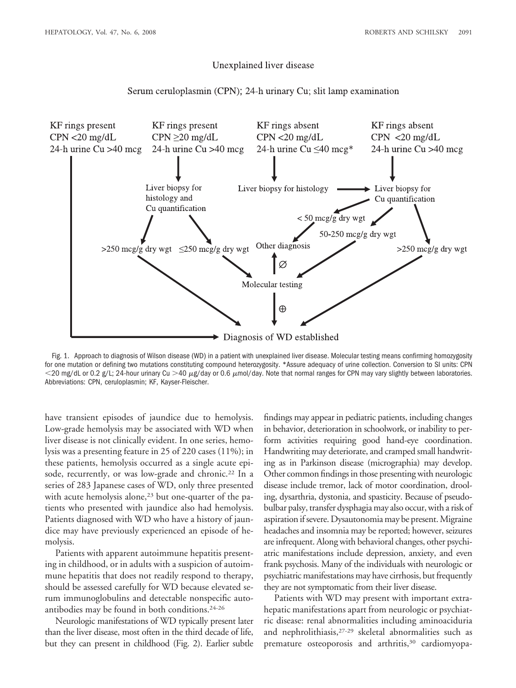#### Unexplained liver disease

Serum ceruloplasmin (CPN); 24-h urinary Cu; slit lamp examination



Fig. 1. Approach to diagnosis of Wilson disease (WD) in a patient with unexplained liver disease. Molecular testing means confirming homozygosity for one mutation or defining two mutations constituting compound heterozygosity. \*Assure adequacy of urine collection. Conversion to SI units: CPN  $<$  20 mg/dL or 0.2 g/L; 24-hour urinary Cu >40 µg/day or 0.6 µmol/day. Note that normal ranges for CPN may vary slightly between laboratories. Abbreviations: CPN, ceruloplasmin; KF, Kayser-Fleischer.

have transient episodes of jaundice due to hemolysis. Low-grade hemolysis may be associated with WD when liver disease is not clinically evident. In one series, hemolysis was a presenting feature in 25 of 220 cases (11%); in these patients, hemolysis occurred as a single acute episode, recurrently, or was low-grade and chronic.<sup>22</sup> In a series of 283 Japanese cases of WD, only three presented with acute hemolysis alone,<sup>23</sup> but one-quarter of the patients who presented with jaundice also had hemolysis. Patients diagnosed with WD who have a history of jaundice may have previously experienced an episode of hemolysis.

Patients with apparent autoimmune hepatitis presenting in childhood, or in adults with a suspicion of autoimmune hepatitis that does not readily respond to therapy, should be assessed carefully for WD because elevated serum immunoglobulins and detectable nonspecific autoantibodies may be found in both conditions.24-26

Neurologic manifestations of WD typically present later than the liver disease, most often in the third decade of life, but they can present in childhood (Fig. 2). Earlier subtle

findings may appear in pediatric patients, including changes in behavior, deterioration in schoolwork, or inability to perform activities requiring good hand-eye coordination. Handwriting may deteriorate, and cramped small handwriting as in Parkinson disease (micrographia) may develop. Other common findings in those presenting with neurologic disease include tremor, lack of motor coordination, drooling, dysarthria, dystonia, and spasticity. Because of pseudobulbar palsy, transfer dysphagia may also occur, with a risk of aspiration if severe. Dysautonomia may be present. Migraine headaches and insomnia may be reported; however, seizures are infrequent. Along with behavioral changes, other psychiatric manifestations include depression, anxiety, and even frank psychosis. Many of the individuals with neurologic or psychiatric manifestations may have cirrhosis, but frequently they are not symptomatic from their liver disease.

Patients with WD may present with important extrahepatic manifestations apart from neurologic or psychiatric disease: renal abnormalities including aminoaciduria and nephrolithiasis,27-29 skeletal abnormalities such as premature osteoporosis and arthritis,<sup>30</sup> cardiomyopa-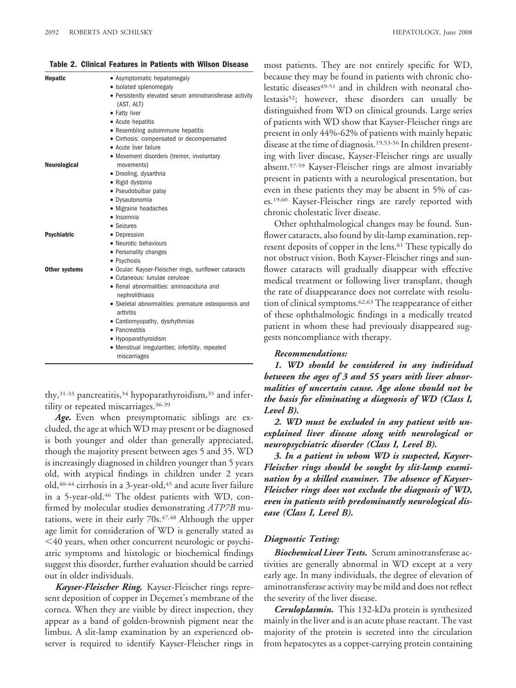**Table 2. Clinical Features in Patients with Wilson Disease**

| <b>Hepatic</b>     | • Asymptomatic hepatomegaly                                                                                                                   |  |  |  |                                           |  |  |  |
|--------------------|-----------------------------------------------------------------------------------------------------------------------------------------------|--|--|--|-------------------------------------------|--|--|--|
|                    | • Isolated splenomegaly                                                                                                                       |  |  |  |                                           |  |  |  |
|                    | • Persistently elevated serum aminotransferase activity                                                                                       |  |  |  |                                           |  |  |  |
|                    | (AST, ALT)                                                                                                                                    |  |  |  |                                           |  |  |  |
|                    | • Fatty liver<br>• Acute hepatitis<br>• Resembling autoimmune hepatitis<br>• Cirrhosis: compensated or decompensated<br>• Acute liver failure |  |  |  |                                           |  |  |  |
|                    |                                                                                                                                               |  |  |  |                                           |  |  |  |
|                    |                                                                                                                                               |  |  |  |                                           |  |  |  |
|                    |                                                                                                                                               |  |  |  | • Movement disorders (tremor, involuntary |  |  |  |
| Neurological       |                                                                                                                                               |  |  |  | movements)                                |  |  |  |
|                    | • Drooling, dysarthria                                                                                                                        |  |  |  |                                           |  |  |  |
|                    | • Rigid dystonia                                                                                                                              |  |  |  |                                           |  |  |  |
|                    | • Pseudobulbar palsy                                                                                                                          |  |  |  |                                           |  |  |  |
|                    | · Dysautonomia                                                                                                                                |  |  |  |                                           |  |  |  |
|                    | • Migraine headaches                                                                                                                          |  |  |  |                                           |  |  |  |
|                    | $\bullet$ Insomnia                                                                                                                            |  |  |  |                                           |  |  |  |
|                    | • Seizures                                                                                                                                    |  |  |  |                                           |  |  |  |
| <b>Psychiatric</b> | • Depression                                                                                                                                  |  |  |  |                                           |  |  |  |
|                    | • Neurotic behaviours                                                                                                                         |  |  |  |                                           |  |  |  |
|                    | • Personality changes                                                                                                                         |  |  |  |                                           |  |  |  |
|                    | • Psychosis                                                                                                                                   |  |  |  |                                           |  |  |  |
| Other systems      | • Ocular: Kayser-Fleischer rings, sunflower cataracts                                                                                         |  |  |  |                                           |  |  |  |
|                    | • Cutaneous: lunulae ceruleae                                                                                                                 |  |  |  |                                           |  |  |  |
|                    | • Renal abnormalities: aminoaciduria and                                                                                                      |  |  |  |                                           |  |  |  |
|                    | nephrolithiasis                                                                                                                               |  |  |  |                                           |  |  |  |
|                    | • Skeletal abnormalities: premature osteoporosis and                                                                                          |  |  |  |                                           |  |  |  |
|                    | arthritis                                                                                                                                     |  |  |  |                                           |  |  |  |
|                    | • Cardiomyopathy, dysrhythmias                                                                                                                |  |  |  |                                           |  |  |  |
|                    | • Pancreatitis                                                                                                                                |  |  |  |                                           |  |  |  |
|                    | • Hypoparathyroidism                                                                                                                          |  |  |  |                                           |  |  |  |
|                    | • Menstrual irregularities; infertility, repeated                                                                                             |  |  |  |                                           |  |  |  |
|                    | miscarriages                                                                                                                                  |  |  |  |                                           |  |  |  |

thy,  $31-33$  pancreatitis,  $34$  hypoparathyroidism,  $35$  and infertility or repeated miscarriages.36-39

*Age.* Even when presymptomatic siblings are excluded, the age at which WD may present or be diagnosed is both younger and older than generally appreciated, though the majority present between ages 5 and 35. WD is increasingly diagnosed in children younger than 5 years old, with atypical findings in children under 2 years old, $40-44$  cirrhosis in a 3-year-old, $45$  and acute liver failure in a 5-year-old.46 The oldest patients with WD, confirmed by molecular studies demonstrating *ATP7B* mutations, were in their early 70s.<sup>47,48</sup> Although the upper age limit for consideration of WD is generally stated as -40 years, when other concurrent neurologic or psychiatric symptoms and histologic or biochemical findings suggest this disorder, further evaluation should be carried out in older individuals.

*Kayser-Fleischer Ring.* Kayser-Fleischer rings represent deposition of copper in Decemet's membrane of the cornea. When they are visible by direct inspection, they appear as a band of golden-brownish pigment near the limbus. A slit-lamp examination by an experienced observer is required to identify Kayser-Fleischer rings in

most patients. They are not entirely specific for WD, because they may be found in patients with chronic cholestatic diseases<sup>49-51</sup> and in children with neonatal cholestasis52; however, these disorders can usually be distinguished from WD on clinical grounds. Large series of patients with WD show that Kayser-Fleischer rings are present in only 44%-62% of patients with mainly hepatic disease at the time of diagnosis.19,53-56 In children presenting with liver disease, Kayser-Fleischer rings are usually absent.57-59 Kayser-Fleischer rings are almost invariably present in patients with a neurological presentation, but even in these patients they may be absent in 5% of cases.19,60 Kayser-Fleischer rings are rarely reported with chronic cholestatic liver disease.

Other ophthalmological changes may be found. Sunflower cataracts, also found by slit-lamp examination, represent deposits of copper in the lens.<sup>61</sup> These typically do not obstruct vision. Both Kayser-Fleischer rings and sunflower cataracts will gradually disappear with effective medical treatment or following liver transplant, though the rate of disappearance does not correlate with resolution of clinical symptoms.62,63 The reappearance of either of these ophthalmologic findings in a medically treated patient in whom these had previously disappeared suggests noncompliance with therapy.

#### *Recommendations:*

*1. WD should be considered in any individual between the ages of 3 and 55 years with liver abnormalities of uncertain cause. Age alone should not be the basis for eliminating a diagnosis of WD (Class I, Level B).*

*2. WD must be excluded in any patient with unexplained liver disease along with neurological or neuropsychiatric disorder (Class I, Level B).*

*3. In a patient in whom WD is suspected, Kayser-Fleischer rings should be sought by slit-lamp examination by a skilled examiner. The absence of Kayser-Fleischer rings does not exclude the diagnosis of WD, even in patients with predominantly neurological disease (Class I, Level B).*

#### *Diagnostic Testing:*

*Biochemical Liver Tests.* Serum aminotransferase activities are generally abnormal in WD except at a very early age. In many individuals, the degree of elevation of aminotransferase activity may be mild and does not reflect the severity of the liver disease.

*Ceruloplasmin.* This 132-kDa protein is synthesized mainly in the liver and is an acute phase reactant. The vast majority of the protein is secreted into the circulation from hepatocytes as a copper-carrying protein containing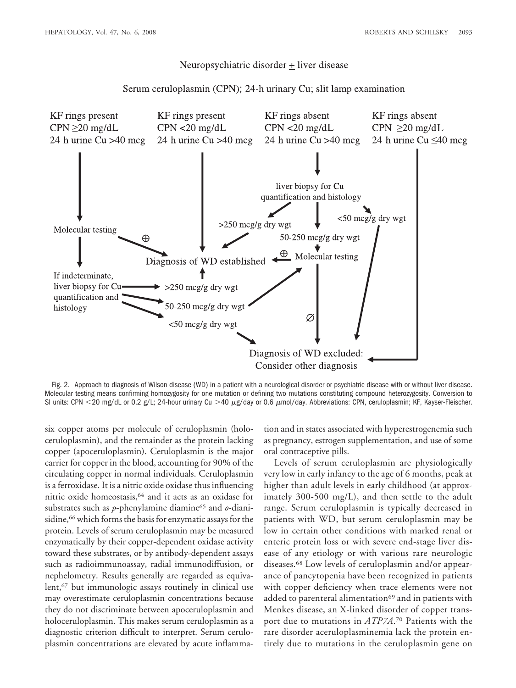#### Neuropsychiatric disorder  $\pm$  liver disease

Serum ceruloplasmin (CPN); 24-h urinary Cu; slit lamp examination



Fig. 2. Approach to diagnosis of Wilson disease (WD) in a patient with a neurological disorder or psychiatric disease with or without liver disease. Molecular testing means confirming homozygosity for one mutation or defining two mutations constituting compound heterozygosity. Conversion to SI units: CPN <20 mg/dL or 0.2 g/L; 24-hour urinary Cu >40  $\mu$ g/day or 0.6  $\mu$ mol/day. Abbreviations: CPN, ceruloplasmin; KF, Kayser-Fleischer.

six copper atoms per molecule of ceruloplasmin (holoceruloplasmin), and the remainder as the protein lacking copper (apoceruloplasmin). Ceruloplasmin is the major carrier for copper in the blood, accounting for 90% of the circulating copper in normal individuals. Ceruloplasmin is a ferroxidase. It is a nitric oxide oxidase thus influencing nitric oxide homeostasis,64 and it acts as an oxidase for substrates such as *p*-phenylamine diamine<sup>65</sup> and *o*-dianisidine,<sup>66</sup> which forms the basis for enzymatic assays for the protein. Levels of serum ceruloplasmin may be measured enzymatically by their copper-dependent oxidase activity toward these substrates, or by antibody-dependent assays such as radioimmunoassay, radial immunodiffusion, or nephelometry. Results generally are regarded as equivalent,67 but immunologic assays routinely in clinical use may overestimate ceruloplasmin concentrations because they do not discriminate between apoceruloplasmin and holoceruloplasmin. This makes serum ceruloplasmin as a diagnostic criterion difficult to interpret. Serum ceruloplasmin concentrations are elevated by acute inflammation and in states associated with hyperestrogenemia such as pregnancy, estrogen supplementation, and use of some oral contraceptive pills.

Levels of serum ceruloplasmin are physiologically very low in early infancy to the age of 6 months, peak at higher than adult levels in early childhood (at approximately 300-500 mg/L), and then settle to the adult range. Serum ceruloplasmin is typically decreased in patients with WD, but serum ceruloplasmin may be low in certain other conditions with marked renal or enteric protein loss or with severe end-stage liver disease of any etiology or with various rare neurologic diseases.68 Low levels of ceruloplasmin and/or appearance of pancytopenia have been recognized in patients with copper deficiency when trace elements were not added to parenteral alimentation<sup>69</sup> and in patients with Menkes disease, an X-linked disorder of copper transport due to mutations in *ATP7A*.70 Patients with the rare disorder aceruloplasminemia lack the protein entirely due to mutations in the ceruloplasmin gene on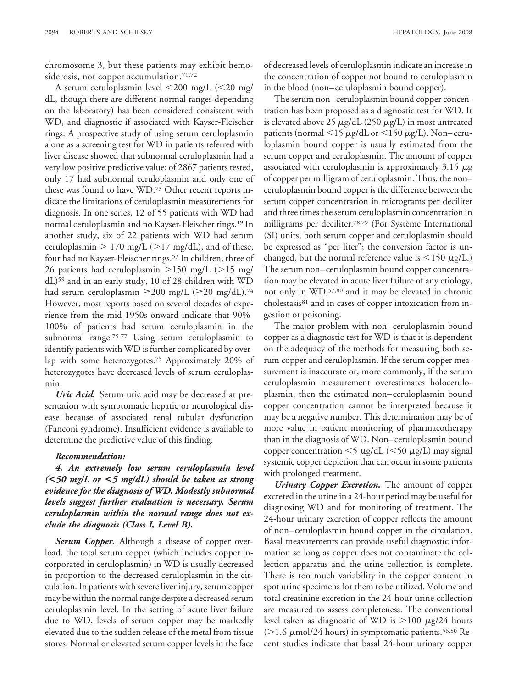chromosome 3, but these patients may exhibit hemosiderosis, not copper accumulation.<sup>71,72</sup>

A serum ceruloplasmin level <200 mg/L (<20 mg/ dL, though there are different normal ranges depending on the laboratory) has been considered consistent with WD, and diagnostic if associated with Kayser-Fleischer rings. A prospective study of using serum ceruloplasmin alone as a screening test for WD in patients referred with liver disease showed that subnormal ceruloplasmin had a very low positive predictive value: of 2867 patients tested, only 17 had subnormal ceruloplasmin and only one of these was found to have WD.73 Other recent reports indicate the limitations of ceruloplasmin measurements for diagnosis. In one series, 12 of 55 patients with WD had normal ceruloplasmin and no Kayser-Fleischer rings.19 In another study, six of 22 patients with WD had serum ceruloplasmin  $> 170$  mg/L ( $> 17$  mg/dL), and of these, four had no Kayser-Fleischer rings.<sup>53</sup> In children, three of 26 patients had ceruloplasmin  $>$ 150 mg/L ( $>$ 15 mg/ dL)59 and in an early study, 10 of 28 children with WD had serum ceruloplasmin  $\geq$ 200 mg/L ( $\geq$ 20 mg/dL).<sup>74</sup> However, most reports based on several decades of experience from the mid-1950s onward indicate that 90%- 100% of patients had serum ceruloplasmin in the subnormal range.75-77 Using serum ceruloplasmin to identify patients with WD is further complicated by overlap with some heterozygotes.<sup>75</sup> Approximately 20% of heterozygotes have decreased levels of serum ceruloplasmin.

*Uric Acid.* Serum uric acid may be decreased at presentation with symptomatic hepatic or neurological disease because of associated renal tubular dysfunction (Fanconi syndrome). Insufficient evidence is available to determine the predictive value of this finding.

#### *Recommendation:*

*4. An extremely low serum ceruloplasmin level (***<***50 mg/L or* **<***5 mg/dL) should be taken as strong evidence for the diagnosis of WD. Modestly subnormal levels suggest further evaluation is necessary. Serum ceruloplasmin within the normal range does not exclude the diagnosis (Class I, Level B).*

*Serum Copper.* Although a disease of copper overload, the total serum copper (which includes copper incorporated in ceruloplasmin) in WD is usually decreased in proportion to the decreased ceruloplasmin in the circulation. In patients with severe liver injury, serum copper may be within the normal range despite a decreased serum ceruloplasmin level. In the setting of acute liver failure due to WD, levels of serum copper may be markedly elevated due to the sudden release of the metal from tissue stores. Normal or elevated serum copper levels in the face of decreased levels of ceruloplasmin indicate an increase in the concentration of copper not bound to ceruloplasmin in the blood (non– ceruloplasmin bound copper).

The serum non– ceruloplasmin bound copper concentration has been proposed as a diagnostic test for WD. It is elevated above 25  $\mu$ g/dL (250  $\mu$ g/L) in most untreated patients (normal  $\leq$ 15 µg/dL or  $\leq$ 150 µg/L). Non–ceruloplasmin bound copper is usually estimated from the serum copper and ceruloplasmin. The amount of copper associated with ceruloplasmin is approximately  $3.15 \mu$ g of copper per milligram of ceruloplasmin. Thus, the non– ceruloplasmin bound copper is the difference between the serum copper concentration in micrograms per deciliter and three times the serum ceruloplasmin concentration in milligrams per deciliter.<sup>78,79</sup> (For Système International (SI) units, both serum copper and ceruloplasmin should be expressed as "per liter"; the conversion factor is unchanged, but the normal reference value is  $\lt 150 \ \mu g/L$ .) The serum non– ceruloplasmin bound copper concentration may be elevated in acute liver failure of any etiology, not only in WD,57,80 and it may be elevated in chronic cholestasis81 and in cases of copper intoxication from ingestion or poisoning.

The major problem with non– ceruloplasmin bound copper as a diagnostic test for WD is that it is dependent on the adequacy of the methods for measuring both serum copper and ceruloplasmin. If the serum copper measurement is inaccurate or, more commonly, if the serum ceruloplasmin measurement overestimates holoceruloplasmin, then the estimated non– ceruloplasmin bound copper concentration cannot be interpreted because it may be a negative number. This determination may be of more value in patient monitoring of pharmacotherapy than in the diagnosis of WD. Non– ceruloplasmin bound copper concentration  $\leq$  5  $\mu$ g/dL ( $\leq$  50  $\mu$ g/L) may signal systemic copper depletion that can occur in some patients with prolonged treatment.

*Urinary Copper Excretion.* The amount of copper excreted in the urine in a 24-hour period may be useful for diagnosing WD and for monitoring of treatment. The 24-hour urinary excretion of copper reflects the amount of non– ceruloplasmin bound copper in the circulation. Basal measurements can provide useful diagnostic information so long as copper does not contaminate the collection apparatus and the urine collection is complete. There is too much variability in the copper content in spot urine specimens for them to be utilized. Volume and total creatinine excretion in the 24-hour urine collection are measured to assess completeness. The conventional level taken as diagnostic of WD is  $>100 \mu g/24$  hours ( $>1.6 \mu$ mol/24 hours) in symptomatic patients.<sup>56,80</sup> Recent studies indicate that basal 24-hour urinary copper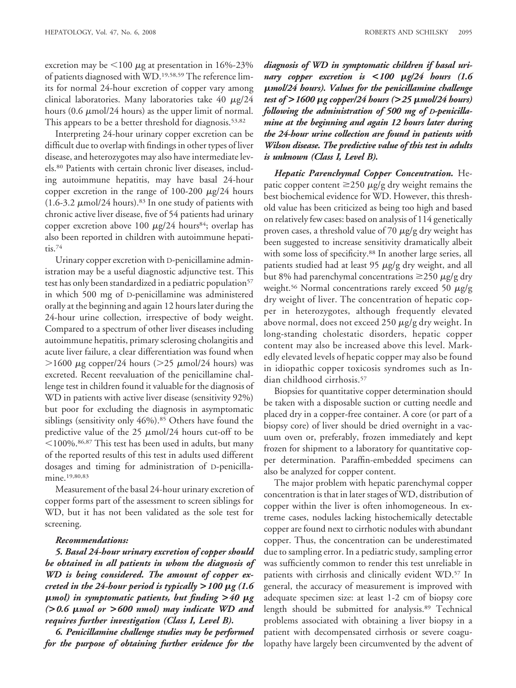excretion may be  $\leq$ 100  $\mu$ g at presentation in 16%-23% of patients diagnosed with WD.19,58,59 The reference limits for normal 24-hour excretion of copper vary among clinical laboratories. Many laboratories take 40  $\mu$ g/24 hours (0.6  $\mu$ mol/24 hours) as the upper limit of normal. This appears to be a better threshold for diagnosis.<sup>53,82</sup>

Interpreting 24-hour urinary copper excretion can be difficult due to overlap with findings in other types of liver disease, and heterozygotes may also have intermediate levels.80 Patients with certain chronic liver diseases, including autoimmune hepatitis, may have basal 24-hour copper excretion in the range of 100-200  $\mu$ g/24 hours  $(1.6-3.2 \mu \text{mol}/24 \text{ hours})$ .<sup>83</sup> In one study of patients with chronic active liver disease, five of 54 patients had urinary copper excretion above 100  $\mu$ g/24 hours<sup>84</sup>; overlap has also been reported in children with autoimmune hepatitis.74

Urinary copper excretion with D-penicillamine administration may be a useful diagnostic adjunctive test. This test has only been standardized in a pediatric population<sup>57</sup> in which 500 mg of D-penicillamine was administered orally at the beginning and again 12 hours later during the 24-hour urine collection, irrespective of body weight. Compared to a spectrum of other liver diseases including autoimmune hepatitis, primary sclerosing cholangitis and acute liver failure, a clear differentiation was found when  $>$ 1600 µg copper/24 hours ( $>$ 25 µmol/24 hours) was excreted. Recent reevaluation of the penicillamine challenge test in children found it valuable for the diagnosis of WD in patients with active liver disease (sensitivity 92%) but poor for excluding the diagnosis in asymptomatic siblings (sensitivity only 46%).<sup>85</sup> Others have found the predictive value of the 25  $\mu$ mol/24 hours cut-off to be -100%.86,87 This test has been used in adults, but many of the reported results of this test in adults used different dosages and timing for administration of D-penicillamine.<sup>19,80,83</sup>

Measurement of the basal 24-hour urinary excretion of copper forms part of the assessment to screen siblings for WD, but it has not been validated as the sole test for screening.

#### *Recommendations:*

*5. Basal 24-hour urinary excretion of copper should be obtained in all patients in whom the diagnosis of WD is being considered. The amount of copper excreted in the 24-hour period is typically*  $>$  100  $\mu$ g (1.6)  $\mu$ *mol) in symptomatic patients, but finding*  $>40 \mu$ g *(***>***0.6 mol or* **>***600 nmol) may indicate WD and requires further investigation (Class I, Level B).*

*6. Penicillamine challenge studies may be performed for the purpose of obtaining further evidence for the*

*diagnosis of WD in symptomatic children if basal urinary* copper excretion is <100  $\mu$ g/24 hours (1.6) *mol/24 hours). Values for the penicillamine challenge test of* **>***1600 g copper/24 hours (***>***25 mol/24 hours) following the administration of 500 mg of D-penicillamine at the beginning and again 12 hours later during the 24-hour urine collection are found in patients with Wilson disease. The predictive value of this test in adults is unknown (Class I, Level B).*

*Hepatic Parenchymal Copper Concentration.* Hepatic copper content  $\geq$ 250  $\mu$ g/g dry weight remains the best biochemical evidence for WD. However, this threshold value has been criticized as being too high and based on relatively few cases: based on analysis of 114 genetically proven cases, a threshold value of 70  $\mu$ g/g dry weight has been suggested to increase sensitivity dramatically albeit with some loss of specificity.<sup>88</sup> In another large series, all patients studied had at least 95  $\mu$ g/g dry weight, and all but 8% had parenchymal concentrations  $\geq$ 250  $\mu$ g/g dry weight.<sup>56</sup> Normal concentrations rarely exceed 50  $\mu$ g/g dry weight of liver. The concentration of hepatic copper in heterozygotes, although frequently elevated above normal, does not exceed 250  $\mu$ g/g dry weight. In long-standing cholestatic disorders, hepatic copper content may also be increased above this level. Markedly elevated levels of hepatic copper may also be found in idiopathic copper toxicosis syndromes such as Indian childhood cirrhosis.57

Biopsies for quantitative copper determination should be taken with a disposable suction or cutting needle and placed dry in a copper-free container. A core (or part of a biopsy core) of liver should be dried overnight in a vacuum oven or, preferably, frozen immediately and kept frozen for shipment to a laboratory for quantitative copper determination. Paraffin-embedded specimens can also be analyzed for copper content.

The major problem with hepatic parenchymal copper concentration is that in later stages of WD, distribution of copper within the liver is often inhomogeneous. In extreme cases, nodules lacking histochemically detectable copper are found next to cirrhotic nodules with abundant copper. Thus, the concentration can be underestimated due to sampling error. In a pediatric study, sampling error was sufficiently common to render this test unreliable in patients with cirrhosis and clinically evident WD.57 In general, the accuracy of measurement is improved with adequate specimen size: at least 1-2 cm of biopsy core length should be submitted for analysis.89 Technical problems associated with obtaining a liver biopsy in a patient with decompensated cirrhosis or severe coagulopathy have largely been circumvented by the advent of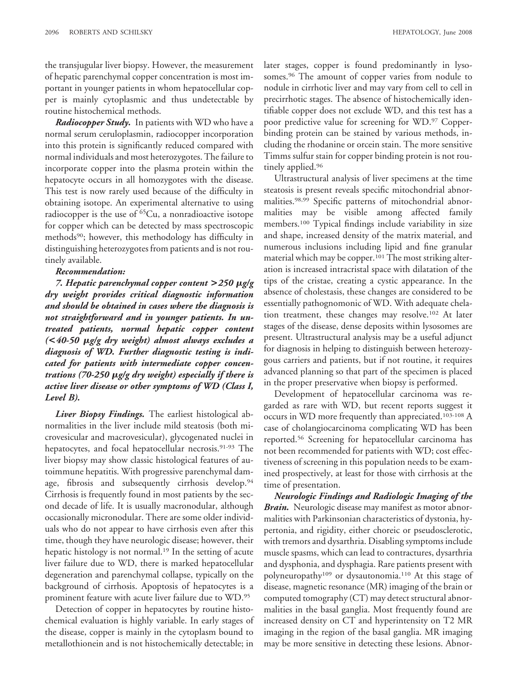the transjugular liver biopsy. However, the measurement of hepatic parenchymal copper concentration is most important in younger patients in whom hepatocellular copper is mainly cytoplasmic and thus undetectable by routine histochemical methods.

*Radiocopper Study.* In patients with WD who have a normal serum ceruloplasmin, radiocopper incorporation into this protein is significantly reduced compared with normal individuals and most heterozygotes. The failure to incorporate copper into the plasma protein within the hepatocyte occurs in all homozygotes with the disease. This test is now rarely used because of the difficulty in obtaining isotope. An experimental alternative to using radiocopper is the use of  ${}^{65}Cu$ , a nonradioactive isotope for copper which can be detected by mass spectroscopic methods90; however, this methodology has difficulty in distinguishing heterozygotes from patients and is not routinely available.

#### *Recommendation:*

*7. Hepatic parenchymal copper content* **>***250 g/g dry weight provides critical diagnostic information and should be obtained in cases where the diagnosis is not straightforward and in younger patients. In untreated patients, normal hepatic copper content (***<***40-50 g/g dry weight) almost always excludes a diagnosis of WD. Further diagnostic testing is indicated for patients with intermediate copper concentrations (70-250 g/g dry weight) especially if there is active liver disease or other symptoms of WD (Class I, Level B).*

*Liver Biopsy Findings.* The earliest histological abnormalities in the liver include mild steatosis (both microvesicular and macrovesicular), glycogenated nuclei in hepatocytes, and focal hepatocellular necrosis.91-93 The liver biopsy may show classic histological features of autoimmune hepatitis. With progressive parenchymal damage, fibrosis and subsequently cirrhosis develop.<sup>94</sup> Cirrhosis is frequently found in most patients by the second decade of life. It is usually macronodular, although occasionally micronodular. There are some older individuals who do not appear to have cirrhosis even after this time, though they have neurologic disease; however, their hepatic histology is not normal.<sup>19</sup> In the setting of acute liver failure due to WD, there is marked hepatocellular degeneration and parenchymal collapse, typically on the background of cirrhosis. Apoptosis of hepatocytes is a prominent feature with acute liver failure due to WD.95

Detection of copper in hepatocytes by routine histochemical evaluation is highly variable. In early stages of the disease, copper is mainly in the cytoplasm bound to metallothionein and is not histochemically detectable; in

later stages, copper is found predominantly in lysosomes.96 The amount of copper varies from nodule to nodule in cirrhotic liver and may vary from cell to cell in precirrhotic stages. The absence of histochemically identifiable copper does not exclude WD, and this test has a poor predictive value for screening for WD.97 Copperbinding protein can be stained by various methods, including the rhodanine or orcein stain. The more sensitive Timms sulfur stain for copper binding protein is not routinely applied.96

Ultrastructural analysis of liver specimens at the time steatosis is present reveals specific mitochondrial abnormalities.98,99 Specific patterns of mitochondrial abnormalities may be visible among affected family members.100 Typical findings include variability in size and shape, increased density of the matrix material, and numerous inclusions including lipid and fine granular material which may be copper.101 The most striking alteration is increased intracristal space with dilatation of the tips of the cristae, creating a cystic appearance. In the absence of cholestasis, these changes are considered to be essentially pathognomonic of WD. With adequate chelation treatment, these changes may resolve.102 At later stages of the disease, dense deposits within lysosomes are present. Ultrastructural analysis may be a useful adjunct for diagnosis in helping to distinguish between heterozygous carriers and patients, but if not routine, it requires advanced planning so that part of the specimen is placed in the proper preservative when biopsy is performed.

Development of hepatocellular carcinoma was regarded as rare with WD, but recent reports suggest it occurs in WD more frequently than appreciated.<sup>103-108</sup> A case of cholangiocarcinoma complicating WD has been reported.56 Screening for hepatocellular carcinoma has not been recommended for patients with WD; cost effectiveness of screening in this population needs to be examined prospectively, at least for those with cirrhosis at the time of presentation.

*Neurologic Findings and Radiologic Imaging of the Brain.* Neurologic disease may manifest as motor abnormalities with Parkinsonian characteristics of dystonia, hypertonia, and rigidity, either choreic or pseudosclerotic, with tremors and dysarthria. Disabling symptoms include muscle spasms, which can lead to contractures, dysarthria and dysphonia, and dysphagia. Rare patients present with polyneuropathy109 or dysautonomia.110 At this stage of disease, magnetic resonance (MR) imaging of the brain or computed tomography (CT) may detect structural abnormalities in the basal ganglia. Most frequently found are increased density on CT and hyperintensity on T2 MR imaging in the region of the basal ganglia. MR imaging may be more sensitive in detecting these lesions. Abnor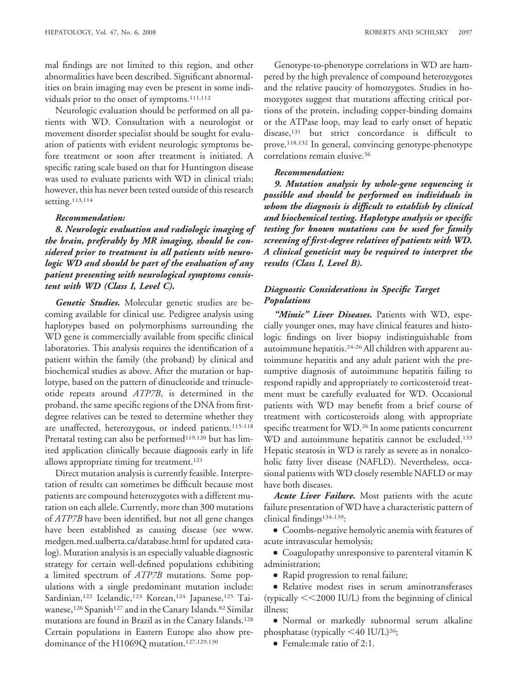mal findings are not limited to this region, and other abnormalities have been described. Significant abnormalities on brain imaging may even be present in some individuals prior to the onset of symptoms.<sup>111,112</sup>

Neurologic evaluation should be performed on all patients with WD. Consultation with a neurologist or movement disorder specialist should be sought for evaluation of patients with evident neurologic symptoms before treatment or soon after treatment is initiated. A specific rating scale based on that for Huntington disease was used to evaluate patients with WD in clinical trials; however, this has never been tested outside of this research setting.113,114

#### *Recommendation:*

*8. Neurologic evaluation and radiologic imaging of the brain, preferably by MR imaging, should be considered prior to treatment in all patients with neurologic WD and should be part of the evaluation of any patient presenting with neurological symptoms consistent with WD (Class I, Level C).*

*Genetic Studies.* Molecular genetic studies are becoming available for clinical use. Pedigree analysis using haplotypes based on polymorphisms surrounding the WD gene is commercially available from specific clinical laboratories. This analysis requires the identification of a patient within the family (the proband) by clinical and biochemical studies as above. After the mutation or haplotype, based on the pattern of dinucleotide and trinucleotide repeats around *ATP7B*, is determined in the proband, the same specific regions of the DNA from firstdegree relatives can be tested to determine whether they are unaffected, heterozygous, or indeed patients.<sup>115-118</sup> Prenatal testing can also be performed<sup>119,120</sup> but has limited application clinically because diagnosis early in life allows appropriate timing for treatment.<sup>121</sup>

Direct mutation analysis is currently feasible. Interpretation of results can sometimes be difficult because most patients are compound heterozygotes with a different mutation on each allele. Currently, more than 300 mutations of *ATP7B* have been identified, but not all gene changes have been established as causing disease (see www. medgen.med.ualberta.ca/database.html for updated catalog). Mutation analysis is an especially valuable diagnostic strategy for certain well-defined populations exhibiting a limited spectrum of *ATP7B* mutations. Some populations with a single predominant mutation include: Sardinian,<sup>122</sup> Icelandic,<sup>123</sup> Korean,<sup>124</sup> Japanese,<sup>125</sup> Taiwanese,<sup>126</sup> Spanish<sup>127</sup> and in the Canary Islands.<sup>82</sup> Similar mutations are found in Brazil as in the Canary Islands.128 Certain populations in Eastern Europe also show predominance of the H1069Q mutation.127,129,130

Genotype-to-phenotype correlations in WD are hampered by the high prevalence of compound heterozygotes and the relative paucity of homozygotes. Studies in homozygotes suggest that mutations affecting critical portions of the protein, including copper-binding domains or the ATPase loop, may lead to early onset of hepatic disease,131 but strict concordance is difficult to prove.118,132 In general, convincing genotype-phenotype correlations remain elusive.56

#### *Recommendation:*

*9. Mutation analysis by whole-gene sequencing is possible and should be performed on individuals in whom the diagnosis is difficult to establish by clinical and biochemical testing. Haplotype analysis or specific testing for known mutations can be used for family screening of first-degree relatives of patients with WD. A clinical geneticist may be required to interpret the results (Class I, Level B).*

## *Diagnostic Considerations in Specific Target Populations*

"Mimic" Liver Diseases. Patients with WD, especially younger ones, may have clinical features and histologic findings on liver biopsy indistinguishable from autoimmune hepatitis.24-26 All children with apparent autoimmune hepatitis and any adult patient with the presumptive diagnosis of autoimmune hepatitis failing to respond rapidly and appropriately to corticosteroid treatment must be carefully evaluated for WD. Occasional patients with WD may benefit from a brief course of treatment with corticosteroids along with appropriate specific treatment for WD.26 In some patients concurrent WD and autoimmune hepatitis cannot be excluded.<sup>133</sup> Hepatic steatosis in WD is rarely as severe as in nonalcoholic fatty liver disease (NAFLD). Nevertheless, occasional patients with WD closely resemble NAFLD or may have both diseases.

*Acute Liver Failure.* Most patients with the acute failure presentation of WD have a characteristic pattern of clinical findings134-139:

● Coombs-negative hemolytic anemia with features of acute intravascular hemolysis;

● Coagulopathy unresponsive to parenteral vitamin K administration;

• Rapid progression to renal failure;

● Relative modest rises in serum aminotransferases (typically --2000 IU/L) from the beginning of clinical illness;

● Normal or markedly subnormal serum alkaline phosphatase (typically  $\leq$  40 IU/L)<sup>26</sup>;

● Female:male ratio of 2:1.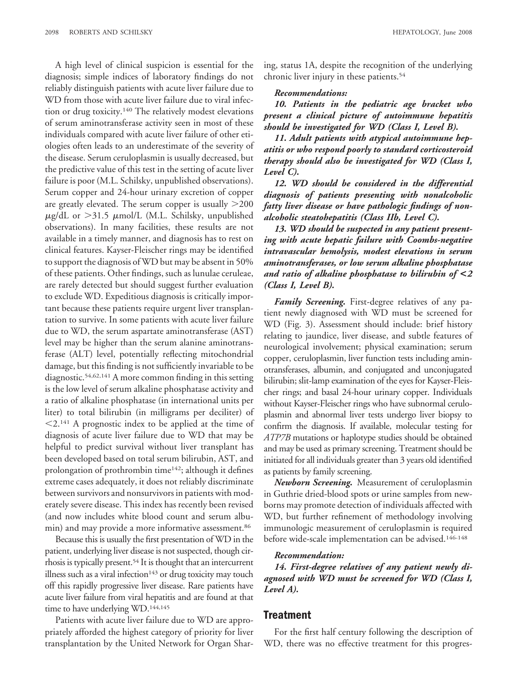A high level of clinical suspicion is essential for the diagnosis; simple indices of laboratory findings do not reliably distinguish patients with acute liver failure due to WD from those with acute liver failure due to viral infection or drug toxicity.140 The relatively modest elevations of serum aminotransferase activity seen in most of these individuals compared with acute liver failure of other etiologies often leads to an underestimate of the severity of the disease. Serum ceruloplasmin is usually decreased, but the predictive value of this test in the setting of acute liver failure is poor (M.L. Schilsky, unpublished observations). Serum copper and 24-hour urinary excretion of copper are greatly elevated. The serum copper is usually  $>200$  $\mu$ g/dL or >31.5  $\mu$ mol/L (M.L. Schilsky, unpublished observations). In many facilities, these results are not available in a timely manner, and diagnosis has to rest on clinical features. Kayser-Fleischer rings may be identified to support the diagnosis of WD but may be absent in 50% of these patients. Other findings, such as lunulae ceruleae, are rarely detected but should suggest further evaluation to exclude WD. Expeditious diagnosis is critically important because these patients require urgent liver transplantation to survive. In some patients with acute liver failure due to WD, the serum aspartate aminotransferase (AST) level may be higher than the serum alanine aminotransferase (ALT) level, potentially reflecting mitochondrial damage, but this finding is not sufficiently invariable to be diagnostic.54,62,141 A more common finding in this setting is the low level of serum alkaline phosphatase activity and a ratio of alkaline phosphatase (in international units per liter) to total bilirubin (in milligrams per deciliter) of -2.141 A prognostic index to be applied at the time of diagnosis of acute liver failure due to WD that may be helpful to predict survival without liver transplant has been developed based on total serum bilirubin, AST, and prolongation of prothrombin time<sup>142</sup>; although it defines extreme cases adequately, it does not reliably discriminate between survivors and nonsurvivors in patients with moderately severe disease. This index has recently been revised (and now includes white blood count and serum albumin) and may provide a more informative assessment.<sup>86</sup>

Because this is usually the first presentation of WD in the patient, underlying liver disease is not suspected, though cirrhosis is typically present.54 It is thought that an intercurrent illness such as a viral infection $143$  or drug toxicity may touch off this rapidly progressive liver disease. Rare patients have acute liver failure from viral hepatitis and are found at that time to have underlying WD.<sup>144,145</sup>

Patients with acute liver failure due to WD are appropriately afforded the highest category of priority for liver transplantation by the United Network for Organ Sharing, status 1A, despite the recognition of the underlying chronic liver injury in these patients.<sup>54</sup>

#### *Recommendations:*

*10. Patients in the pediatric age bracket who present a clinical picture of autoimmune hepatitis should be investigated for WD (Class I, Level B).*

*11. Adult patients with atypical autoimmune hepatitis or who respond poorly to standard corticosteroid therapy should also be investigated for WD (Class I, Level C).*

*12. WD should be considered in the differential diagnosis of patients presenting with nonalcoholic fatty liver disease or have pathologic findings of nonalcoholic steatohepatitis (Class IIb, Level C).*

*13. WD should be suspected in any patient presenting with acute hepatic failure with Coombs-negative intravascular hemolysis, modest elevations in serum aminotransferases, or low serum alkaline phosphatase and ratio of alkaline phosphatase to bilirubin of* **<***2 (Class I, Level B).*

*Family Screening.* First-degree relatives of any patient newly diagnosed with WD must be screened for WD (Fig. 3). Assessment should include: brief history relating to jaundice, liver disease, and subtle features of neurological involvement; physical examination; serum copper, ceruloplasmin, liver function tests including aminotransferases, albumin, and conjugated and unconjugated bilirubin; slit-lamp examination of the eyes for Kayser-Fleischer rings; and basal 24-hour urinary copper. Individuals without Kayser-Fleischer rings who have subnormal ceruloplasmin and abnormal liver tests undergo liver biopsy to confirm the diagnosis. If available, molecular testing for *ATP7B* mutations or haplotype studies should be obtained and may be used as primary screening. Treatment should be initiated for all individuals greater than 3 years old identified as patients by family screening.

*Newborn Screening.* Measurement of ceruloplasmin in Guthrie dried-blood spots or urine samples from newborns may promote detection of individuals affected with WD, but further refinement of methodology involving immunologic measurement of ceruloplasmin is required before wide-scale implementation can be advised.<sup>146-148</sup>

#### *Recommendation:*

*14. First-degree relatives of any patient newly diagnosed with WD must be screened for WD (Class I, Level A).*

## **Treatment**

For the first half century following the description of WD, there was no effective treatment for this progres-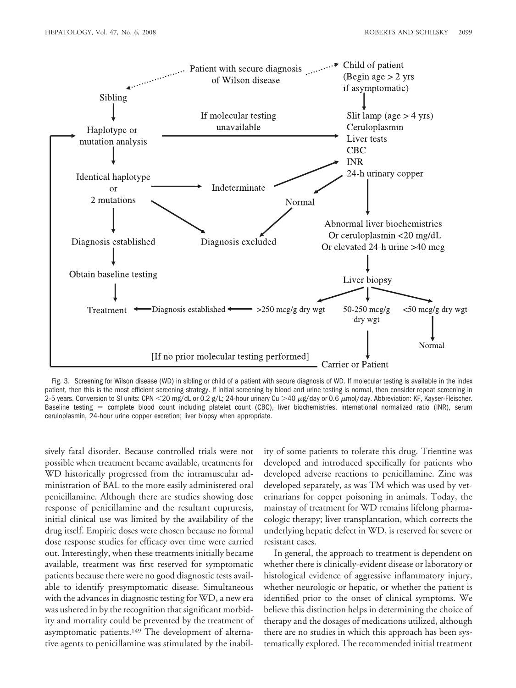

Fig. 3. Screening for Wilson disease (WD) in sibling or child of a patient with secure diagnosis of WD. If molecular testing is available in the index patient, then this is the most efficient screening strategy. If initial screening by blood and urine testing is normal, then consider repeat screening in 2-5 years. Conversion to SI units: CPN <20 mg/dL or 0.2 g/L; 24-hour urinary Cu >40  $\mu$ g/day or 0.6  $\mu$ mol/day. Abbreviation: KF, Kayser-Fleischer. Baseline testing  $=$  complete blood count including platelet count (CBC), liver biochemistries, international normalized ratio (INR), serum ceruloplasmin, 24-hour urine copper excretion; liver biopsy when appropriate.

sively fatal disorder. Because controlled trials were not possible when treatment became available, treatments for WD historically progressed from the intramuscular administration of BAL to the more easily administered oral penicillamine. Although there are studies showing dose response of penicillamine and the resultant cupruresis, initial clinical use was limited by the availability of the drug itself. Empiric doses were chosen because no formal dose response studies for efficacy over time were carried out. Interestingly, when these treatments initially became available, treatment was first reserved for symptomatic patients because there were no good diagnostic tests available to identify presymptomatic disease. Simultaneous with the advances in diagnostic testing for WD, a new era was ushered in by the recognition that significant morbidity and mortality could be prevented by the treatment of asymptomatic patients.149 The development of alternative agents to penicillamine was stimulated by the inability of some patients to tolerate this drug. Trientine was developed and introduced specifically for patients who developed adverse reactions to penicillamine. Zinc was developed separately, as was TM which was used by veterinarians for copper poisoning in animals. Today, the mainstay of treatment for WD remains lifelong pharmacologic therapy; liver transplantation, which corrects the underlying hepatic defect in WD, is reserved for severe or resistant cases.

In general, the approach to treatment is dependent on whether there is clinically-evident disease or laboratory or histological evidence of aggressive inflammatory injury, whether neurologic or hepatic, or whether the patient is identified prior to the onset of clinical symptoms. We believe this distinction helps in determining the choice of therapy and the dosages of medications utilized, although there are no studies in which this approach has been systematically explored. The recommended initial treatment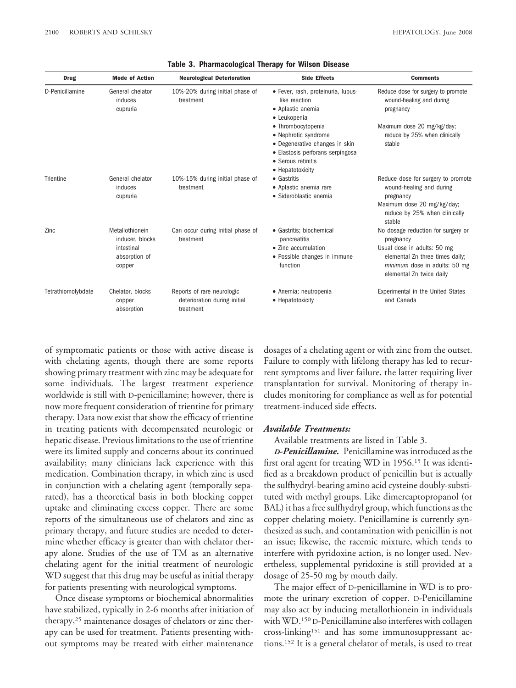| <b>Drug</b>        | <b>Mode of Action</b>                                                       | <b>Neurological Deterioration</b>                                       | <b>Side Effects</b>                                                                                                                                        | <b>Comments</b>                                                                                                                                                                |
|--------------------|-----------------------------------------------------------------------------|-------------------------------------------------------------------------|------------------------------------------------------------------------------------------------------------------------------------------------------------|--------------------------------------------------------------------------------------------------------------------------------------------------------------------------------|
| D-Penicillamine    | General chelator<br>induces<br>cupruria                                     | 10%-20% during initial phase of<br>treatment                            | · Fever, rash, proteinuria, lupus-<br>like reaction<br>• Aplastic anemia<br>• Leukopenia                                                                   | Reduce dose for surgery to promote<br>wound-healing and during<br>pregnancy                                                                                                    |
|                    |                                                                             |                                                                         | • Thrombocytopenia<br>• Nephrotic syndrome<br>• Degenerative changes in skin<br>• Elastosis perforans serpingosa<br>• Serous retinitis<br>• Hepatotoxicity | Maximum dose 20 mg/kg/day;<br>reduce by 25% when clinically<br>stable                                                                                                          |
| Trientine          | General chelator<br>induces<br>cupruria                                     | 10%-15% during initial phase of<br>treatment                            | • Gastritis<br>• Aplastic anemia rare<br>· Sideroblastic anemia                                                                                            | Reduce dose for surgery to promote<br>wound-healing and during<br>pregnancy<br>Maximum dose 20 mg/kg/day;<br>reduce by 25% when clinically<br>stable                           |
| Zinc               | Metallothionein<br>inducer, blocks<br>intestinal<br>absorption of<br>copper | Can occur during initial phase of<br>treatment                          | • Gastritis; biochemical<br>pancreatitis<br>• Zinc accumulation<br>• Possible changes in immune<br>function                                                | No dosage reduction for surgery or<br>pregnancy<br>Usual dose in adults: 50 mg<br>elemental Zn three times daily;<br>minimum dose in adults: 50 mg<br>elemental Zn twice daily |
| Tetrathiomolybdate | Chelator, blocks<br>copper<br>absorption                                    | Reports of rare neurologic<br>deterioration during initial<br>treatment | • Anemia; neutropenia<br>• Hepatotoxicity                                                                                                                  | Experimental in the United States<br>and Canada                                                                                                                                |

**Table 3. Pharmacological Therapy for Wilson Disease**

of symptomatic patients or those with active disease is with chelating agents, though there are some reports showing primary treatment with zinc may be adequate for some individuals. The largest treatment experience worldwide is still with D-penicillamine; however, there is now more frequent consideration of trientine for primary therapy. Data now exist that show the efficacy of trientine in treating patients with decompensated neurologic or hepatic disease. Previous limitations to the use of trientine were its limited supply and concerns about its continued availability; many clinicians lack experience with this medication. Combination therapy, in which zinc is used in conjunction with a chelating agent (temporally separated), has a theoretical basis in both blocking copper uptake and eliminating excess copper. There are some reports of the simultaneous use of chelators and zinc as primary therapy, and future studies are needed to determine whether efficacy is greater than with chelator therapy alone. Studies of the use of TM as an alternative chelating agent for the initial treatment of neurologic WD suggest that this drug may be useful as initial therapy for patients presenting with neurological symptoms.

Once disease symptoms or biochemical abnormalities have stabilized, typically in 2-6 months after initiation of therapy,25 maintenance dosages of chelators or zinc therapy can be used for treatment. Patients presenting without symptoms may be treated with either maintenance

dosages of a chelating agent or with zinc from the outset. Failure to comply with lifelong therapy has led to recurrent symptoms and liver failure, the latter requiring liver transplantation for survival. Monitoring of therapy includes monitoring for compliance as well as for potential treatment-induced side effects.

#### *Available Treatments:*

Available treatments are listed in Table 3.

*D-Penicillamine.* Penicillamine was introduced as the first oral agent for treating WD in 1956.15 It was identified as a breakdown product of penicillin but is actually the sulfhydryl-bearing amino acid cysteine doubly-substituted with methyl groups. Like dimercaptopropanol (or BAL) it has a free sulfhydryl group, which functions as the copper chelating moiety. Penicillamine is currently synthesized as such, and contamination with penicillin is not an issue; likewise, the racemic mixture, which tends to interfere with pyridoxine action, is no longer used. Nevertheless, supplemental pyridoxine is still provided at a dosage of 25-50 mg by mouth daily.

The major effect of D-penicillamine in WD is to promote the urinary excretion of copper. D-Penicillamine may also act by inducing metallothionein in individuals with WD.<sup>150</sup> D-Penicillamine also interferes with collagen cross-linking151 and has some immunosuppressant actions.152 It is a general chelator of metals, is used to treat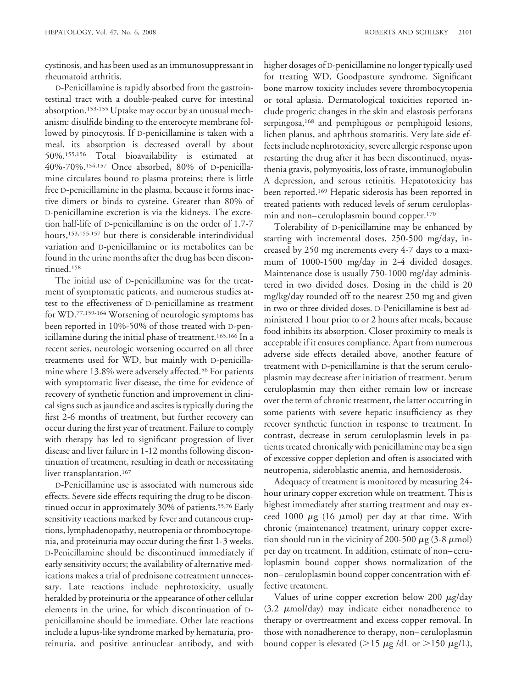cystinosis, and has been used as an immunosuppressant in rheumatoid arthritis.

D-Penicillamine is rapidly absorbed from the gastrointestinal tract with a double-peaked curve for intestinal absorption.153-155 Uptake may occur by an unusual mechanism: disulfide binding to the enterocyte membrane followed by pinocytosis. If D-penicillamine is taken with a meal, its absorption is decreased overall by about 50%.155,156 Total bioavailability is estimated at 40%-70%.154,157 Once absorbed, 80% of D-penicillamine circulates bound to plasma proteins; there is little free D-penicillamine in the plasma, because it forms inactive dimers or binds to cysteine. Greater than 80% of D-penicillamine excretion is via the kidneys. The excretion half-life of D-penicillamine is on the order of 1.7-7 hours,<sup>153,155,157</sup> but there is considerable interindividual variation and D-penicillamine or its metabolites can be found in the urine months after the drug has been discontinued.<sup>158</sup>

The initial use of D-penicillamine was for the treatment of symptomatic patients, and numerous studies attest to the effectiveness of D-penicillamine as treatment for WD.77,159-164 Worsening of neurologic symptoms has been reported in 10%-50% of those treated with D-penicillamine during the initial phase of treatment.<sup>165,166</sup> In a recent series, neurologic worsening occurred on all three treatments used for WD, but mainly with D-penicillamine where 13.8% were adversely affected.<sup>56</sup> For patients with symptomatic liver disease, the time for evidence of recovery of synthetic function and improvement in clinical signs such as jaundice and ascites is typically during the first 2-6 months of treatment, but further recovery can occur during the first year of treatment. Failure to comply with therapy has led to significant progression of liver disease and liver failure in 1-12 months following discontinuation of treatment, resulting in death or necessitating liver transplantation.<sup>167</sup>

D-Penicillamine use is associated with numerous side effects. Severe side effects requiring the drug to be discontinued occur in approximately 30% of patients.<sup>55,76</sup> Early sensitivity reactions marked by fever and cutaneous eruptions, lymphadenopathy, neutropenia or thrombocytopenia, and proteinuria may occur during the first 1-3 weeks. D-Penicillamine should be discontinued immediately if early sensitivity occurs; the availability of alternative medications makes a trial of prednisone cotreatment unnecessary. Late reactions include nephrotoxicity, usually heralded by proteinuria or the appearance of other cellular elements in the urine, for which discontinuation of Dpenicillamine should be immediate. Other late reactions include a lupus-like syndrome marked by hematuria, proteinuria, and positive antinuclear antibody, and with

higher dosages of D-penicillamine no longer typically used for treating WD, Goodpasture syndrome. Significant bone marrow toxicity includes severe thrombocytopenia or total aplasia. Dermatological toxicities reported include progeric changes in the skin and elastosis perforans serpingosa,<sup>168</sup> and pemphigous or pemphigoid lesions, lichen planus, and aphthous stomatitis. Very late side effects include nephrotoxicity, severe allergic response upon restarting the drug after it has been discontinued, myasthenia gravis, polymyositis, loss of taste, immunoglobulin A depression, and serous retinitis. Hepatotoxicity has been reported.169 Hepatic siderosis has been reported in treated patients with reduced levels of serum ceruloplasmin and non– ceruloplasmin bound copper.<sup>170</sup>

Tolerability of D-penicillamine may be enhanced by starting with incremental doses, 250-500 mg/day, increased by 250 mg increments every 4-7 days to a maximum of 1000-1500 mg/day in 2-4 divided dosages. Maintenance dose is usually 750-1000 mg/day administered in two divided doses. Dosing in the child is 20 mg/kg/day rounded off to the nearest 250 mg and given in two or three divided doses. D-Penicillamine is best administered 1 hour prior to or 2 hours after meals, because food inhibits its absorption. Closer proximity to meals is acceptable if it ensures compliance. Apart from numerous adverse side effects detailed above, another feature of treatment with D-penicillamine is that the serum ceruloplasmin may decrease after initiation of treatment. Serum ceruloplasmin may then either remain low or increase over the term of chronic treatment, the latter occurring in some patients with severe hepatic insufficiency as they recover synthetic function in response to treatment. In contrast, decrease in serum ceruloplasmin levels in patients treated chronically with penicillamine may be a sign of excessive copper depletion and often is associated with neutropenia, sideroblastic anemia, and hemosiderosis.

Adequacy of treatment is monitored by measuring 24 hour urinary copper excretion while on treatment. This is highest immediately after starting treatment and may exceed 1000  $\mu$ g (16  $\mu$ mol) per day at that time. With chronic (maintenance) treatment, urinary copper excretion should run in the vicinity of 200-500  $\mu$ g (3-8  $\mu$ mol) per day on treatment. In addition, estimate of non– ceruloplasmin bound copper shows normalization of the non– ceruloplasmin bound copper concentration with effective treatment.

Values of urine copper excretion below 200  $\mu$ g/day  $(3.2 \mu mol/day)$  may indicate either nonadherence to therapy or overtreatment and excess copper removal. In those with nonadherence to therapy, non– ceruloplasmin bound copper is elevated ( $>$ 15  $\mu$ g /dL or  $>$ 150  $\mu$ g/L),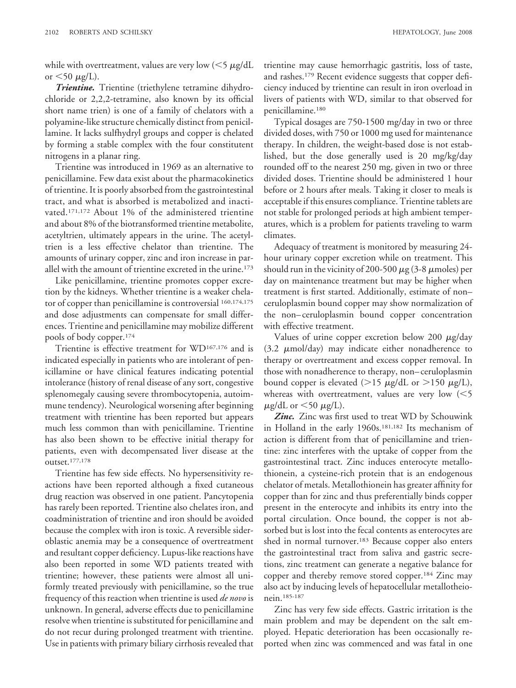while with overtreatment, values are very low ( $<$  5  $\mu$ g/dL or  $\lt$  50  $\mu$ g/L).

*Trientine.* Trientine (triethylene tetramine dihydrochloride or 2,2,2-tetramine, also known by its official short name trien) is one of a family of chelators with a polyamine-like structure chemically distinct from penicillamine. It lacks sulfhydryl groups and copper is chelated by forming a stable complex with the four constitutent nitrogens in a planar ring.

Trientine was introduced in 1969 as an alternative to penicillamine. Few data exist about the pharmacokinetics of trientine. It is poorly absorbed from the gastrointestinal tract, and what is absorbed is metabolized and inactivated.171,172 About 1% of the administered trientine and about 8% of the biotransformed trientine metabolite, acetyltrien, ultimately appears in the urine. The acetyltrien is a less effective chelator than trientine. The amounts of urinary copper, zinc and iron increase in parallel with the amount of trientine excreted in the urine.<sup>173</sup>

Like penicillamine, trientine promotes copper excretion by the kidneys. Whether trientine is a weaker chelator of copper than penicillamine is controversial 160,174,175 and dose adjustments can compensate for small differences. Trientine and penicillamine may mobilize different pools of body copper.174

Trientine is effective treatment for WD167,176 and is indicated especially in patients who are intolerant of penicillamine or have clinical features indicating potential intolerance (history of renal disease of any sort, congestive splenomegaly causing severe thrombocytopenia, autoimmune tendency). Neurological worsening after beginning treatment with trientine has been reported but appears much less common than with penicillamine. Trientine has also been shown to be effective initial therapy for patients, even with decompensated liver disease at the outset.177,178

Trientine has few side effects. No hypersensitivity reactions have been reported although a fixed cutaneous drug reaction was observed in one patient. Pancytopenia has rarely been reported. Trientine also chelates iron, and coadministration of trientine and iron should be avoided because the complex with iron is toxic. A reversible sideroblastic anemia may be a consequence of overtreatment and resultant copper deficiency. Lupus-like reactions have also been reported in some WD patients treated with trientine; however, these patients were almost all uniformly treated previously with penicillamine, so the true frequency of this reaction when trientine is used *de novo* is unknown. In general, adverse effects due to penicillamine resolve when trientine is substituted for penicillamine and do not recur during prolonged treatment with trientine. Use in patients with primary biliary cirrhosis revealed that

trientine may cause hemorrhagic gastritis, loss of taste, and rashes.179 Recent evidence suggests that copper deficiency induced by trientine can result in iron overload in livers of patients with WD, similar to that observed for penicillamine.<sup>180</sup>

Typical dosages are 750-1500 mg/day in two or three divided doses, with 750 or 1000 mg used for maintenance therapy. In children, the weight-based dose is not established, but the dose generally used is 20 mg/kg/day rounded off to the nearest 250 mg, given in two or three divided doses. Trientine should be administered 1 hour before or 2 hours after meals. Taking it closer to meals is acceptable if this ensures compliance. Trientine tablets are not stable for prolonged periods at high ambient temperatures, which is a problem for patients traveling to warm climates.

Adequacy of treatment is monitored by measuring 24 hour urinary copper excretion while on treatment. This should run in the vicinity of 200-500  $\mu$ g (3-8  $\mu$ moles) per day on maintenance treatment but may be higher when treatment is first started. Additionally, estimate of non– ceruloplasmin bound copper may show normalization of the non– ceruloplasmin bound copper concentration with effective treatment.

Values of urine copper excretion below 200  $\mu$ g/day  $(3.2 \mu \text{mol/day})$  may indicate either nonadherence to therapy or overtreatment and excess copper removal. In those with nonadherence to therapy, non– ceruloplasmin bound copper is elevated ( $>15 \mu g/dL$  or  $>150 \mu g/L$ ), whereas with overtreatment, values are very low  $(<$ 5  $\mu$ g/dL or <50  $\mu$ g/L).

*Zinc.* Zinc was first used to treat WD by Schouwink in Holland in the early 1960s.181,182 Its mechanism of action is different from that of penicillamine and trientine: zinc interferes with the uptake of copper from the gastrointestinal tract. Zinc induces enterocyte metallothionein, a cysteine-rich protein that is an endogenous chelator of metals. Metallothionein has greater affinity for copper than for zinc and thus preferentially binds copper present in the enterocyte and inhibits its entry into the portal circulation. Once bound, the copper is not absorbed but is lost into the fecal contents as enterocytes are shed in normal turnover.<sup>183</sup> Because copper also enters the gastrointestinal tract from saliva and gastric secretions, zinc treatment can generate a negative balance for copper and thereby remove stored copper.184 Zinc may also act by inducing levels of hepatocellular metallotheionein.185-187

Zinc has very few side effects. Gastric irritation is the main problem and may be dependent on the salt employed. Hepatic deterioration has been occasionally reported when zinc was commenced and was fatal in one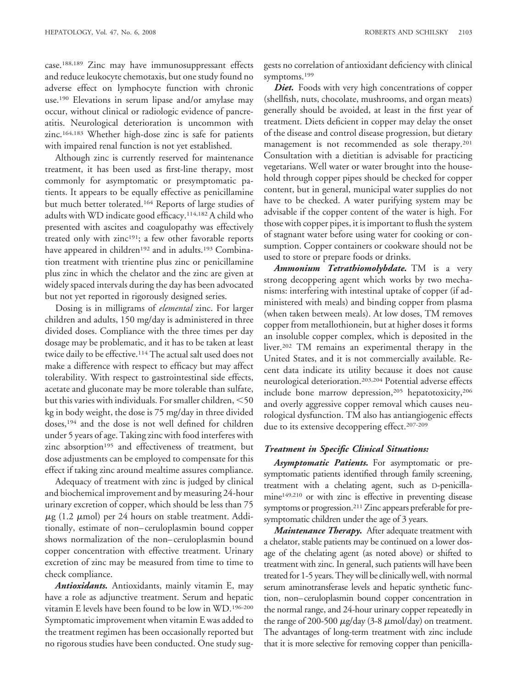case.188,189 Zinc may have immunosuppressant effects and reduce leukocyte chemotaxis, but one study found no adverse effect on lymphocyte function with chronic use.190 Elevations in serum lipase and/or amylase may occur, without clinical or radiologic evidence of pancreatitis. Neurological deterioration is uncommon with zinc.164,183 Whether high-dose zinc is safe for patients with impaired renal function is not yet established.

Although zinc is currently reserved for maintenance treatment, it has been used as first-line therapy, most commonly for asymptomatic or presymptomatic patients. It appears to be equally effective as penicillamine but much better tolerated.<sup>164</sup> Reports of large studies of adults with WD indicate good efficacy.114,182 A child who presented with ascites and coagulopathy was effectively treated only with zinc<sup>191</sup>; a few other favorable reports have appeared in children<sup>192</sup> and in adults.<sup>193</sup> Combination treatment with trientine plus zinc or penicillamine plus zinc in which the chelator and the zinc are given at widely spaced intervals during the day has been advocated but not yet reported in rigorously designed series.

Dosing is in milligrams of *elemental* zinc. For larger children and adults, 150 mg/day is administered in three divided doses. Compliance with the three times per day dosage may be problematic, and it has to be taken at least twice daily to be effective.<sup>114</sup> The actual salt used does not make a difference with respect to efficacy but may affect tolerability. With respect to gastrointestinal side effects, acetate and gluconate may be more tolerable than sulfate, but this varies with individuals. For smaller children,  $<$  50  $\,$ kg in body weight, the dose is 75 mg/day in three divided doses,194 and the dose is not well defined for children under 5 years of age. Taking zinc with food interferes with zinc absorption<sup>195</sup> and effectiveness of treatment, but dose adjustments can be employed to compensate for this effect if taking zinc around mealtime assures compliance.

Adequacy of treatment with zinc is judged by clinical and biochemical improvement and by measuring 24-hour urinary excretion of copper, which should be less than 75  $\mu$ g (1.2  $\mu$ mol) per 24 hours on stable treatment. Additionally, estimate of non– ceruloplasmin bound copper shows normalization of the non– ceruloplasmin bound copper concentration with effective treatment. Urinary excretion of zinc may be measured from time to time to check compliance.

*Antioxidants.* Antioxidants, mainly vitamin E, may have a role as adjunctive treatment. Serum and hepatic vitamin E levels have been found to be low in WD.196-200 Symptomatic improvement when vitamin E was added to the treatment regimen has been occasionally reported but no rigorous studies have been conducted. One study suggests no correlation of antioxidant deficiency with clinical symptoms.199

*Diet.* Foods with very high concentrations of copper (shellfish, nuts, chocolate, mushrooms, and organ meats) generally should be avoided, at least in the first year of treatment. Diets deficient in copper may delay the onset of the disease and control disease progression, but dietary management is not recommended as sole therapy.201 Consultation with a dietitian is advisable for practicing vegetarians. Well water or water brought into the household through copper pipes should be checked for copper content, but in general, municipal water supplies do not have to be checked. A water purifying system may be advisable if the copper content of the water is high. For those with copper pipes, it is important to flush the system of stagnant water before using water for cooking or consumption. Copper containers or cookware should not be used to store or prepare foods or drinks.

*Ammonium Tetrathiomolybdate.* TM is a very strong decoppering agent which works by two mechanisms: interfering with intestinal uptake of copper (if administered with meals) and binding copper from plasma (when taken between meals). At low doses, TM removes copper from metallothionein, but at higher doses it forms an insoluble copper complex, which is deposited in the liver.202 TM remains an experimental therapy in the United States, and it is not commercially available. Recent data indicate its utility because it does not cause neurological deterioration.203,204 Potential adverse effects include bone marrow depression,<sup>205</sup> hepatotoxicity,<sup>206</sup> and overly aggressive copper removal which causes neurological dysfunction. TM also has antiangiogenic effects due to its extensive decoppering effect.<sup>207-209</sup>

### *Treatment in Specific Clinical Situations:*

*Asymptomatic Patients.* For asymptomatic or presymptomatic patients identified through family screening, treatment with a chelating agent, such as D-penicillamine149,210 or with zinc is effective in preventing disease symptoms or progression.<sup>211</sup> Zinc appears preferable for presymptomatic children under the age of 3 years.

*Maintenance Therapy.* After adequate treatment with a chelator, stable patients may be continued on a lower dosage of the chelating agent (as noted above) or shifted to treatment with zinc. In general, such patients will have been treated for 1-5 years. They will be clinically well, with normal serum aminotransferase levels and hepatic synthetic function, non– ceruloplasmin bound copper concentration in the normal range, and 24-hour urinary copper repeatedly in the range of 200-500  $\mu$ g/day (3-8  $\mu$ mol/day) on treatment. The advantages of long-term treatment with zinc include that it is more selective for removing copper than penicilla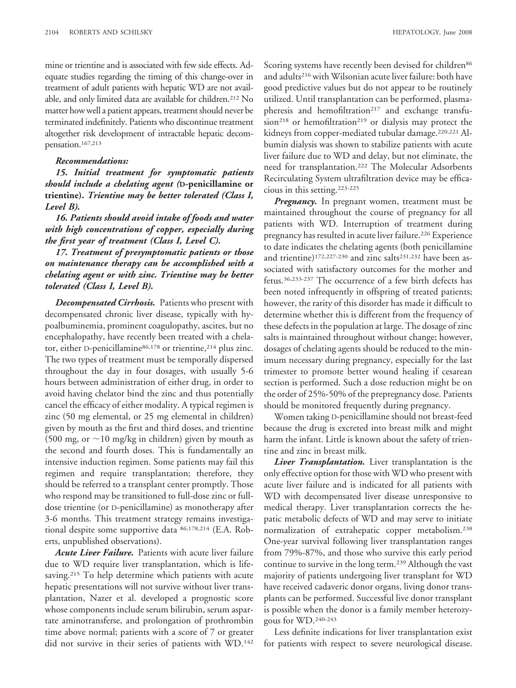mine or trientine and is associated with few side effects. Adequate studies regarding the timing of this change-over in treatment of adult patients with hepatic WD are not available, and only limited data are available for children.212 No matter how well a patient appears, treatment should never be terminated indefinitely. Patients who discontinue treatment altogether risk development of intractable hepatic decompensation.167,213

#### *Recommendations:*

*15. Initial treatment for symptomatic patients should include a chelating agent (***D-penicillamine or trientine).** *Trientine may be better tolerated (Class I, Level B).*

*16. Patients should avoid intake of foods and water with high concentrations of copper, especially during the first year of treatment (Class I, Level C).*

*17. Treatment of presymptomatic patients or those on maintenance therapy can be accomplished with a chelating agent or with zinc. Trientine may be better tolerated (Class I, Level B).*

*Decompensated Cirrhosis.* Patients who present with decompensated chronic liver disease, typically with hypoalbuminemia, prominent coagulopathy, ascites, but no encephalopathy, have recently been treated with a chelator, either D-penicillamine<sup>86,178</sup> or trientine,<sup>214</sup> plus zinc. The two types of treatment must be temporally dispersed throughout the day in four dosages, with usually 5-6 hours between administration of either drug, in order to avoid having chelator bind the zinc and thus potentially cancel the efficacy of either modality. A typical regimen is zinc (50 mg elemental, or 25 mg elemental in children) given by mouth as the first and third doses, and trientine (500 mg, or  $\sim$ 10 mg/kg in children) given by mouth as the second and fourth doses. This is fundamentally an intensive induction regimen. Some patients may fail this regimen and require transplantation; therefore, they should be referred to a transplant center promptly. Those who respond may be transitioned to full-dose zinc or fulldose trientine (or D-penicillamine) as monotherapy after 3-6 months. This treatment strategy remains investigational despite some supportive data 86,178,214 (E.A. Roberts, unpublished observations).

*Acute Liver Failure.* Patients with acute liver failure due to WD require liver transplantation, which is lifesaving.215 To help determine which patients with acute hepatic presentations will not survive without liver transplantation, Nazer et al. developed a prognostic score whose components include serum bilirubin, serum aspartate aminotransferse, and prolongation of prothrombin time above normal; patients with a score of 7 or greater did not survive in their series of patients with WD.<sup>142</sup>

Scoring systems have recently been devised for children<sup>86</sup> and adults<sup>216</sup> with Wilsonian acute liver failure: both have good predictive values but do not appear to be routinely utilized. Until transplantation can be performed, plasmapheresis and hemofiltration<sup>217</sup> and exchange transfu $sion<sup>218</sup>$  or hemofiltration<sup>219</sup> or dialysis may protect the kidneys from copper-mediated tubular damage.220,221 Albumin dialysis was shown to stabilize patients with acute liver failure due to WD and delay, but not eliminate, the need for transplantation.222 The Molecular Adsorbents Recirculating System ultrafiltration device may be efficacious in this setting.223-225

*Pregnancy.* In pregnant women, treatment must be maintained throughout the course of pregnancy for all patients with WD. Interruption of treatment during pregnancy has resulted in acute liver failure.226 Experience to date indicates the chelating agents (both penicillamine and trientine)<sup>172,227-230</sup> and zinc salts<sup>231,232</sup> have been associated with satisfactory outcomes for the mother and fetus.36,233-237 The occurrence of a few birth defects has been noted infrequently in offspring of treated patients; however, the rarity of this disorder has made it difficult to determine whether this is different from the frequency of these defects in the population at large. The dosage of zinc salts is maintained throughout without change; however, dosages of chelating agents should be reduced to the minimum necessary during pregnancy, especially for the last trimester to promote better wound healing if cesarean section is performed. Such a dose reduction might be on the order of 25%-50% of the prepregnancy dose. Patients should be monitored frequently during pregnancy.

Women taking D-penicillamine should not breast-feed because the drug is excreted into breast milk and might harm the infant. Little is known about the safety of trientine and zinc in breast milk.

*Liver Transplantation.* Liver transplantation is the only effective option for those with WD who present with acute liver failure and is indicated for all patients with WD with decompensated liver disease unresponsive to medical therapy. Liver transplantation corrects the hepatic metabolic defects of WD and may serve to initiate normalization of extrahepatic copper metabolism.238 One-year survival following liver transplantation ranges from 79%-87%, and those who survive this early period continue to survive in the long term.239 Although the vast majority of patients undergoing liver transplant for WD have received cadaveric donor organs, living donor transplants can be performed. Successful live donor transplant is possible when the donor is a family member heterozygous for WD.240-243

Less definite indications for liver transplantation exist for patients with respect to severe neurological disease.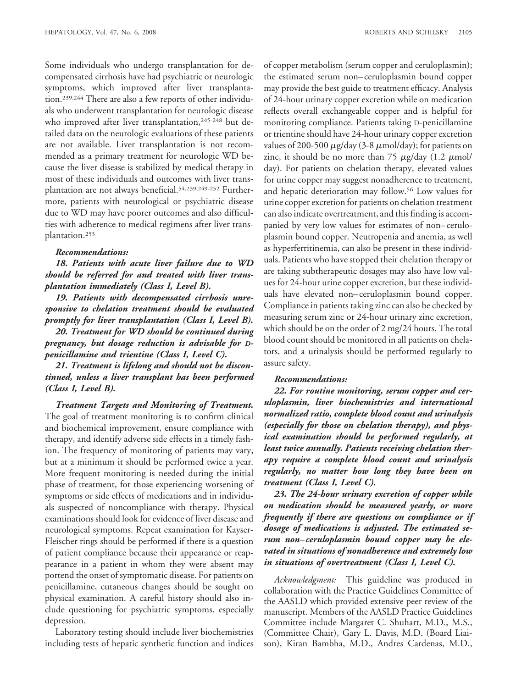Some individuals who undergo transplantation for decompensated cirrhosis have had psychiatric or neurologic symptoms, which improved after liver transplantation.239,244 There are also a few reports of other individuals who underwent transplantation for neurologic disease who improved after liver transplantation,<sup>245-248</sup> but detailed data on the neurologic evaluations of these patients are not available. Liver transplantation is not recommended as a primary treatment for neurologic WD because the liver disease is stabilized by medical therapy in most of these individuals and outcomes with liver transplantation are not always beneficial.<sup>54,239,249-252</sup> Furthermore, patients with neurological or psychiatric disease due to WD may have poorer outcomes and also difficulties with adherence to medical regimens after liver transplantation.253

#### *Recommendations:*

*18. Patients with acute liver failure due to WD should be referred for and treated with liver transplantation immediately (Class I, Level B).*

*19. Patients with decompensated cirrhosis unresponsive to chelation treatment should be evaluated promptly for liver transplantation (Class I, Level B).*

*20. Treatment for WD should be continued during pregnancy, but dosage reduction is advisable for Dpenicillamine and trientine (Class I, Level C).*

*21. Treatment is lifelong and should not be discontinued, unless a liver transplant has been performed (Class I, Level B).*

*Treatment Targets and Monitoring of Treatment.* The goal of treatment monitoring is to confirm clinical and biochemical improvement, ensure compliance with therapy, and identify adverse side effects in a timely fashion. The frequency of monitoring of patients may vary, but at a minimum it should be performed twice a year. More frequent monitoring is needed during the initial phase of treatment, for those experiencing worsening of symptoms or side effects of medications and in individuals suspected of noncompliance with therapy. Physical examinations should look for evidence of liver disease and neurological symptoms. Repeat examination for Kayser-Fleischer rings should be performed if there is a question of patient compliance because their appearance or reappearance in a patient in whom they were absent may portend the onset of symptomatic disease. For patients on penicillamine, cutaneous changes should be sought on physical examination. A careful history should also include questioning for psychiatric symptoms, especially depression.

Laboratory testing should include liver biochemistries including tests of hepatic synthetic function and indices

of copper metabolism (serum copper and ceruloplasmin); the estimated serum non– ceruloplasmin bound copper may provide the best guide to treatment efficacy. Analysis of 24-hour urinary copper excretion while on medication reflects overall exchangeable copper and is helpful for monitoring compliance. Patients taking D-penicillamine or trientine should have 24-hour urinary copper excretion values of 200-500  $\mu$ g/day (3-8  $\mu$ mol/day); for patients on zinc, it should be no more than 75  $\mu$ g/day (1.2  $\mu$ mol/ day). For patients on chelation therapy, elevated values for urine copper may suggest nonadherence to treatment, and hepatic deterioration may follow.56 Low values for urine copper excretion for patients on chelation treatment can also indicate overtreatment, and this finding is accompanied by very low values for estimates of non– ceruloplasmin bound copper. Neutropenia and anemia, as well as hyperferritinemia, can also be present in these individuals. Patients who have stopped their chelation therapy or are taking subtherapeutic dosages may also have low values for 24-hour urine copper excretion, but these individuals have elevated non– ceruloplasmin bound copper. Compliance in patients taking zinc can also be checked by measuring serum zinc or 24-hour urinary zinc excretion, which should be on the order of 2 mg/24 hours. The total blood count should be monitored in all patients on chelators, and a urinalysis should be performed regularly to assure safety.

#### *Recommendations:*

*22. For routine monitoring, serum copper and ceruloplasmin, liver biochemistries and international normalized ratio, complete blood count and urinalysis (especially for those on chelation therapy), and physical examination should be performed regularly, at least twice annually. Patients receiving chelation therapy require a complete blood count and urinalysis regularly, no matter how long they have been on treatment (Class I, Level C).*

*23. The 24-hour urinary excretion of copper while on medication should be measured yearly, or more frequently if there are questions on compliance or if dosage of medications is adjusted. The estimated serum non– ceruloplasmin bound copper may be elevated in situations of nonadherence and extremely low in situations of overtreatment (Class I, Level C).*

*Acknowledgment:* This guideline was produced in collaboration with the Practice Guidelines Committee of the AASLD which provided extensive peer review of the manuscript. Members of the AASLD Practice Guidelines Committee include Margaret C. Shuhart, M.D., M.S., (Committee Chair), Gary L. Davis, M.D. (Board Liaison), Kiran Bambha, M.D., Andres Cardenas, M.D.,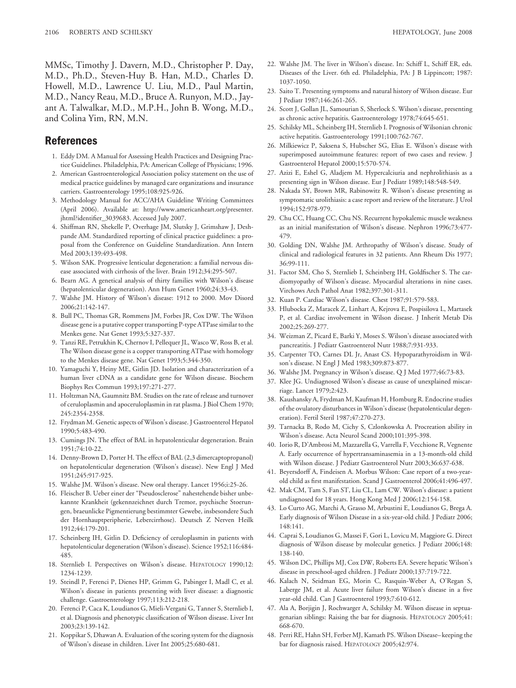MMSc, Timothy J. Davern, M.D., Christopher P. Day, M.D., Ph.D., Steven-Huy B. Han, M.D., Charles D. Howell, M.D., Lawrence U. Liu, M.D., Paul Martin, M.D., Nancy Reau, M.D., Bruce A. Runyon, M.D., Jayant A. Talwalkar, M.D., M.P.H., John B. Wong, M.D., and Colina Yim, RN, M.N.

## **References**

- 1. Eddy DM. A Manual for Assessing Health Practices and Designing Practice Guidelines. Philadelphia, PA: American College of Physicians; 1996.
- 2. American Gastroenterological Association policy statement on the use of medical practice guidelines by managed care organizations and insurance carriers. Gastroenterology 1995;108:925-926.
- 3. Methodology Manual for ACC/AHA Guideline Writing Committees (April 2006). Available at: http://www.americanheart.org/presenter. jhtml?identifier\_3039683. Accessed July 2007.
- 4. Shiffman RN, Shekelle P, Overhage JM, Slutsky J, Grimshaw J, Deshpande AM. Standardized reporting of clinical practice guidelines: a proposal from the Conference on Guideline Standardization. Ann Intern Med 2003;139:493-498.
- 5. Wilson SAK. Progressive lenticular degeneration: a familial nervous disease associated with cirrhosis of the liver. Brain 1912;34:295-507.
- 6. Bearn AG. A genetical analysis of thirty families with Wilson's disease (hepatolenticular degeneration). Ann Hum Genet 1960;24:33-43.
- 7. Walshe JM. History of Wilson's disease: 1912 to 2000. Mov Disord 2006;21:142-147.
- 8. Bull PC, Thomas GR, Rommens JM, Forbes JR, Cox DW. The Wilson disease gene is a putative copper transporting P-type ATPase similar to the Menkes gene. Nat Genet 1993;5:327-337.
- 9. Tanzi RE, Petrukhin K, Chernov I, Pellequer JL, Wasco W, Ross B, et al. The Wilson disease gene is a copper transporting ATPase with homology to the Menkes disease gene. Nat Genet 1993;5:344-350.
- 10. Yamaguchi Y, Heiny ME, Gitlin JD. Isolation and characterization of a human liver cDNA as a candidate gene for Wilson disease. Biochem Biophys Res Commun 1993;197:271-277.
- 11. Holtzman NA, Gaumnitz BM. Studies on the rate of release and turnover of ceruloplasmin and apoceruloplasmin in rat plasma. J Biol Chem 1970; 245:2354-2358.
- 12. Frydman M. Genetic aspects of Wilson's disease. J Gastroenterol Hepatol 1990;5:483-490.
- 13. Cumings JN. The effect of BAL in hepatolenticular degeneration. Brain 1951;74:10-22.
- 14. Denny-Brown D, Porter H. The effect of BAL (2,3 dimercaptopropanol) on hepatolenticular degeneration (Wilson's disease). New Engl J Med 1951;245:917-925.
- 15. Walshe JM. Wilson's disease. New oral therapy. Lancet 1956;i:25-26.
- 16. Fleischer B. Ueber einer der "Pseudosclerose" nahestehende bisher unbekannte Krankheit (gekennzeichnet durch Tremor, psychische Stoerungen, braeunlicke Pigmentierung bestimmter Gewebe, insbesondere Such der Hornhauptperipherie, Lebercirrhose). Deutsch Z Nerven Heilk 1912;44:179-201.
- 17. Scheinberg IH, Gitlin D. Deficiency of ceruloplasmin in patients with hepatolenticular degeneration (Wilson's disease). Science 1952;116:484- 485.
- 18. Sternlieb I. Perspectives on Wilson's disease. HEPATOLOGY 1990;12: 1234-1239.
- 19. Steindl P, Ferenci P, Dienes HP, Grimm G, Pabinger I, Madl C, et al. Wilson's disease in patients presenting with liver disease: a diagnostic challenge. Gastroenterology 1997;113:212-218.
- 20. Ferenci P, Caca K, Loudianos G, Mieli-Vergani G, Tanner S, Sternlieb I, et al. Diagnosis and phenotypic classification of Wilson disease. Liver Int 2003;23:139-142.
- 21. Koppikar S, Dhawan A. Evaluation of the scoring system for the diagnosis of Wilson's disease in children. Liver Int 2005;25:680-681.
- 22. Walshe JM. The liver in Wilson's disease. In: Schiff L, Schiff ER, eds. Diseases of the Liver. 6th ed. Philadelphia, PA: J B Lippincott; 1987: 1037-1050.
- 23. Saito T. Presenting symptoms and natural history of Wilson disease. Eur J Pediatr 1987;146:261-265.
- 24. Scott J, Gollan JL, Samourian S, Sherlock S. Wilson's disease, presenting as chronic active hepatitis. Gastroenterology 1978;74:645-651.
- 25. Schilsky ML, Scheinberg IH, Sternlieb I. Prognosis of Wilsonian chronic active hepatitis. Gastroenterology 1991;100:762-767.
- 26. Milkiewicz P, Saksena S, Hubscher SG, Elias E. Wilson's disease with superimposed autoimmune features: report of two cases and review. J Gastroenterol Hepatol 2000;15:570-574.
- 27. Azizi E, Eshel G, Aladjem M. Hypercalciuria and nephrolithiasis as a presenting sign in Wilson disease. Eur J Pediatr 1989;148:548-549.
- 28. Nakada SY, Brown MR, Rabinowitz R. Wilson's disease presenting as symptomatic urolithiasis: a case report and review of the literature. J Urol 1994;152:978-979.
- 29. Chu CC, Huang CC, Chu NS. Recurrent hypokalemic muscle weakness as an initial manifestation of Wilson's disease. Nephron 1996;73:477- 479.
- 30. Golding DN, Walshe JM. Arthropathy of Wilson's disease. Study of clinical and radiological features in 32 patients. Ann Rheum Dis 1977; 36:99-111.
- 31. Factor SM, Cho S, Sternlieb I, Scheinberg IH, Goldfischer S. The cardiomyopathy of Wilson's disease. Myocardial alterations in nine cases. Virchows Arch Pathol Anat 1982;397:301-311.
- 32. Kuan P. Cardiac Wilson's disease. Chest 1987;91:579-583.
- 33. Hlubocka Z, Maracek Z, Linhart A, Kejrova E, Pospisilova L, Martasek P, et al. Cardiac involvement in Wilson disease. J Inherit Metab Dis 2002;25:269-277.
- 34. Weizman Z, Picard E, Barki Y, Moses S. Wilson's disease associated with pancreatitis. J Pediatr Gastroenterol Nutr 1988;7:931-933.
- 35. Carpenter TO, Carnes DL Jr, Anast CS. Hypoparathyroidism in Wilson's disease. N Engl J Med 1983;309:873-877.
- 36. Walshe JM. Pregnancy in Wilson's disease. Q J Med 1977;46:73-83.
- 37. Klee JG. Undiagnosed Wilson's disease as cause of unexplained miscarriage. Lancet 1979;2:423.
- 38. Kaushansky A, Frydman M, Kaufman H, Homburg R. Endocrine studies of the ovulatory disturbances in Wilson's disease (hepatolenticular degeneration). Fertil Steril 1987;47:270-273.
- 39. Tarnacka B, Rodo M, Cichy S, Czlonkowska A. Procreation ability in Wilson's disease. Acta Neurol Scand 2000;101:395-398.
- 40. Iorio R, D'Ambrosi M, Mazzarella G, Varrella F, Vecchione R, Vegnente A. Early occurrence of hypertransaminasemia in a 13-month-old child with Wilson disease. J Pediatr Gastroenterol Nutr 2003;36:637-638.
- 41. Beyersdorff A, Findeisen A. Morbus Wilson: Case report of a two-yearold child as first manifestation. Scand J Gastroenterol 2006;41:496-497.
- 42. Mak CM, Tam S, Fan ST, Liu CL, Lam CW. Wilson's disease: a patient undiagnosed for 18 years. Hong Kong Med J 2006;12:154-158.
- 43. Lo Curto AG, Marchi A, Grasso M, Arbustini E, Loudianos G, Brega A. Early diagnosis of Wilson Disease in a six-year-old child. J Pediatr 2006; 148:141.
- 44. Caprai S, Loudianos G, Massei F, Gori L, Lovicu M, Maggiore G. Direct diagnosis of Wilson disease by molecular genetics. J Pediatr 2006;148: 138-140.
- 45. Wilson DC, Phillips MJ, Cox DW, Roberts EA. Severe hepatic Wilson's disease in preschool-aged children. J Pediatr 2000;137:719-722.
- 46. Kalach N, Seidman EG, Morin C, Rasquin-Weber A, O'Regan S, Laberge JM, et al. Acute liver failure from Wilson's disease in a five year-old child. Can J Gastroenterol 1993;7:610-612.
- 47. Ala A, Borjigin J, Rochwarger A, Schilsky M. Wilson disease in septuagenarian siblings: Raising the bar for diagnosis. HEPATOLOGY 2005;41: 668-670.
- 48. Perri RE, Hahn SH, Ferber MJ, Kamath PS. Wilson Disease–keeping the bar for diagnosis raised. HEPATOLOGY 2005;42:974.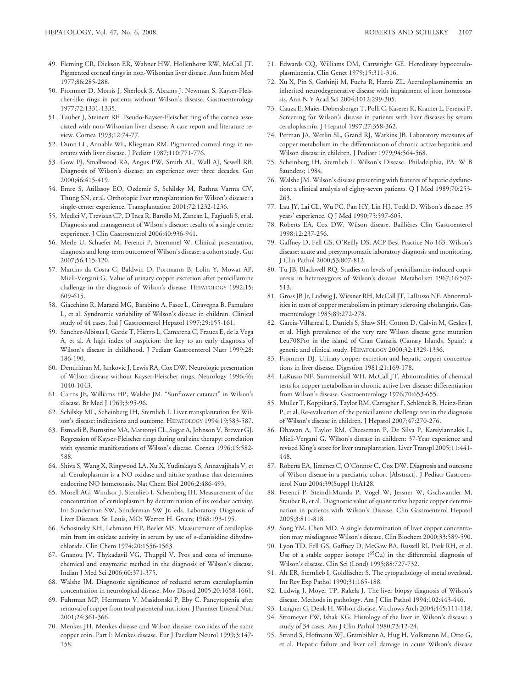- 49. Fleming CR, Dickson ER, Wahner HW, Hollenhorst RW, McCall JT. Pigmented corneal rings in non-Wilsonian liver disease. Ann Intern Med 1977;86:285-288.
- 50. Frommer D, Morris J, Sherlock S, Abrams J, Newman S. Kayser-Fleischer-like rings in patients without Wilson's disease. Gastroenterology 1977;72:1331-1335.
- 51. Tauber J, Steinert RF. Pseudo-Kayser-Fleischer ring of the cornea associated with non-Wilsonian liver disease. A case report and literature review. Cornea 1993;12:74-77.
- 52. Dunn LL, Annable WL, Kliegman RM. Pigmented corneal rings in neonates with liver disease. J Pediatr 1987;110:771-776.
- 53. Gow PJ, Smallwood RA, Angus PW, Smith AL, Wall AJ, Sewell RB. Diagnosis of Wilson's disease: an experience over three decades. Gut 2000;46:415-419.
- 54. Emre S, Atillasoy EO, Ozdemir S, Schilsky M, Rathna Varma CV, Thung SN, et al. Orthotopic liver transplantation for Wilson's disease: a single-center experience. Transplantation 2001;72:1232-1236.
- 55. Medici V, Trevisan CP, D'Inca R, Barollo M, Zancan L, Fagiuoli S, et al. Diagnosis and management of Wilson's disease: results of a single center experience. J Clin Gastroenterol 2006;40:936-941.
- 56. Merle U, Schaefer M, Ferenci P, Stremmel W. Clinical presentation, diagnosis and long-term outcome of Wilson's disease: a cohort study. Gut 2007;56:115-120.
- 57. Martins da Costa C, Baldwin D, Portmann B, Lolin Y, Mowat AP, Mieli-Vergani G. Value of urinary copper excretion after penicillamine challenge in the diagnosis of Wilson's disease. HEPATOLOGY 1992;15: 609-615.
- 58. Giacchino R, Marazzi MG, Barabino A, Fasce L, Ciravegna B, Famularo L, et al. Syndromic variability of Wilson's disease in children. Clinical study of 44 cases. Ital J Gastroenterol Hepatol 1997;29:155-161.
- 59. Sanchez-Albisua I, Garde T, Hierro L, Camarena C, Frauca E, de la Vega A, et al. A high index of suspicion: the key to an early diagnosis of Wilson's disease in childhood. J Pediatr Gastroenterol Nutr 1999;28: 186-190.
- 60. Demirkiran M, Jankovic J, Lewis RA, Cox DW. Neurologic presentation of Wilson disease without Kayser-Fleischer rings. Neurology 1996;46: 1040-1043.
- 61. Cairns JE, Williams HP, Walshe JM. "Sunflower cataract" in Wilson's disease. Br Med J 1969;3:95-96.
- 62. Schilsky ML, Scheinberg IH, Sternlieb I. Liver transplantation for Wilson's disease: indications and outcome. HEPATOLOGY 1994;19:583-587.
- 63. Esmaeli B, Burnstine MA, Martonyi CL, Sugar A, Johnson V, Brewer GJ. Regression of Kayser-Fleischer rings during oral zinc therapy: correlation with systemic manifestations of Wilson's disease. Cornea 1996;15:582- 588.
- 64. Shiva S, Wang X, Ringwood LA, Xu X, Yuditskaya S, Annavajjhala V, et al. Ceruloplasmin is a NO oxidase and nitrite synthase that determines endocrine NO homeostasis. Nat Chem Biol 2006;2:486-493.
- 65. Morell AG, Windsor J, Sternlieb I, Scheinberg IH. Measurement of the concentration of ceruloplasmin by determination of its oxidase activity. In: Sunderman SW, Sunderman SW Jr, eds. Laboratory Diagnosis of Liver Diseases. St. Louis, MO: Warren H. Green; 1968:193-195.
- 66. Schosinsky KH, Lehmann HP, Beeler MS. Measurement of ceruloplasmin from its oxidase activity in serum by use of *o*-dianisidine dihydrochloride. Clin Chem 1974;20:1556-1563.
- 67. Gnanou JV, Thykadavil VG, Thuppil V. Pros and cons of immunochemical and enzymatic method in the diagnosis of Wilson's disease. Indian J Med Sci 2006;60:371-375.
- 68. Walshe JM. Diagnostic significance of reduced serum caeruloplasmin concentration in neurological disease. Mov Disord 2005;20:1658-1661.
- 69. Fuhrman MP, Herrmann V, Masidonski P, Eby C. Pancytopenia after removal of copper from total parenteral nutrition. J Parenter Enteral Nutr 2001;24:361-366.
- 70. Menkes JH. Menkes disease and Wilson disease: two sides of the same copper coin. Part I: Menkes disease. Eur J Paediatr Neurol 1999;3:147- 158.
- 71. Edwards CQ, Williams DM, Cartwright GE. Hereditary hypoceruloplasminemia. Clin Genet 1979;15:311-316.
- 72. Xu X, Pin S, Gathinji M, Fuchs R, Harris ZL. Aceruloplasminemia: an inherited neurodegenerative disease with impairment of iron homeostasis. Ann N Y Acad Sci 2004;1012:299-305.
- 73. Cauza E, Maier-Dobersberger T, Polli C, Kaserer K, Kramer L, Ferenci P. Screening for Wilson's disease in patients with liver diseases by serum ceruloplasmin. J Hepatol 1997;27:358-362.
- 74. Perman JA, Werlin SL, Grand RJ, Watkins JB. Laboratory measures of copper metabolism in the differentiation of chronic active hepatitis and Wilson disease in children. J Pediatr 1979;94:564-568.
- 75. Scheinberg IH, Sternlieb I. Wilson's Disease. Philadelphia, PA: W B Saunders; 1984.
- 76. Walshe JM. Wilson's disease presenting with features of hepatic dysfunction: a clinical analysis of eighty-seven patients. Q J Med 1989;70:253- 263.
- 77. Lau JY, Lai CL, Wu PC, Pan HY, Lin HJ, Todd D. Wilson's disease: 35 years' experience. Q J Med 1990;75:597-605.
- 78. Roberts EA, Cox DW. Wilson disease. Baillières Clin Gastroenterol 1998;12:237-256.
- 79. Gaffney D, Fell GS, O'Reilly DS. ACP Best Practice No 163. Wilson's disease: acute and presymptomatic laboratory diagnosis and monitoring. J Clin Pathol 2000;53:807-812.
- 80. Tu JB, Blackwell RQ. Studies on levels of penicillamine-induced cupriuresis in heterozygotes of Wilson's disease. Metabolism 1967;16:507- 513.
- 81. Gross JB Jr, Ludwig J, Wiesner RH, McCall JT, LaRusso NF. Abnormalities in tests of copper metabolism in primary sclerosing cholangitis. Gastroenterology 1985;89:272-278.
- 82. Garcia-Villarreal L, Daniels S, Shaw SH, Cotton D, Galvin M, Geskes J, et al. High prevalence of the very rare Wilson disease gene mutation Leu708Pro in the island of Gran Canaria (Canary Islands, Spain): a genetic and clinical study. HEPATOLOGY 2000;32:1329-1336.
- 83. Frommer DJ. Urinary copper excretion and hepatic copper concentrations in liver disease. Digestion 1981;21:169-178.
- 84. LaRusso NF, Summerskill WH, McCall JT. Abnormalities of chemical tests for copper metabolism in chronic active liver disease: differentiation from Wilson's disease. Gastroenterology 1976;70:653-655.
- 85. Muller T, Koppikar S, Taylor RM, Carragher F, Schlenck B, Heinz-Erian P, et al. Re-evaluation of the penicillamine challenge test in the diagnosis of Wilson's disease in children. J Hepatol 2007;47:270-276.
- 86. Dhawan A, Taylor RM, Cheeseman P, De Silva P, Katsiyiannakis L, Mieli-Vergani G. Wilson's disease in children: 37-Year experience and revised King's score for liver transplantation. Liver Transpl 2005;11:441- 448.
- 87. Roberts EA, Jimenez C, O'Connor C, Cox DW. Diagnosis and outcome of Wilson disease in a paediatric cohort [Abstract]. J Pediatr Gastroenterol Nutr 2004;39(Suppl 1):A128.
- 88. Ferenci P, Steindl-Munda P, Vogel W, Jessner W, Gschwantler M, Stauber R, et al. Diagnostic value of quantitative hepatic copper determination in patients with Wilson's Disease. Clin Gastroenterol Hepatol 2005;3:811-818.
- 89. Song YM, Chen MD. A single determination of liver copper concentration may misdiagnose Wilson's disease. Clin Biochem 2000;33:589-590.
- 90. Lyon TD, Fell GS, Gaffney D, McGaw BA, Russell RI, Park RH, et al. Use of a stable copper isotope (<sup>65</sup>Cu) in the differential diagnosis of Wilson's disease. Clin Sci (Lond) 1995;88:727-732.
- 91. Alt ER, Sternlieb I, Goldfischer S. The cytopathology of metal overload. Int Rev Exp Pathol 1990;31:165-188.
- 92. Ludwig J, Moyer TP, Rakela J. The liver biopsy diagnosis of Wilson's disease. Methods in pathology. Am J Clin Pathol 1994;102:443-446.
- 93. Langner C, Denk H. Wilson disease. Virchows Arch 2004;445:111-118.
- 94. Stromeyer FW, Ishak KG. Histology of the liver in Wilson's disease: a study of 34 cases. Am J Clin Pathol 1980;73:12-24.
- 95. Strand S, Hofmann WJ, Grambihler A, Hug H, Volkmann M, Otto G, et al. Hepatic failure and liver cell damage in acute Wilson's disease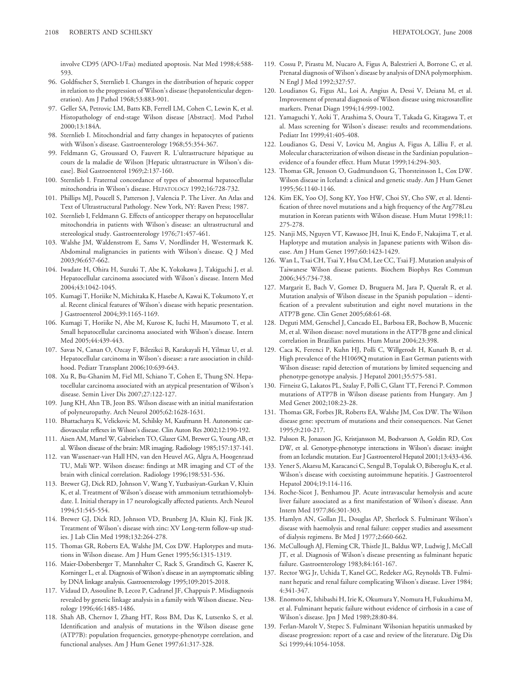involve CD95 (APO-1/Fas) mediated apoptosis. Nat Med 1998;4:588- 593.

- 96. Goldfischer S, Sternlieb I. Changes in the distribution of hepatic copper in relation to the progression of Wilson's disease (hepatolenticular degeneration). Am J Pathol 1968;53:883-901.
- 97. Geller SA, Petrovic LM, Batts KB, Ferrell LM, Cohen C, Lewin K, et al. Histopathology of end-stage Wilson disease [Abstract]. Mod Pathol 2000;13:184A.
- 98. Sternlieb I. Mitochondrial and fatty changes in hepatocytes of patients with Wilson's disease. Gastroenterology 1968;55:354-367.
- 99. Feldmann G, Groussard O, Fauvert R. L'ultrastructure hépatique au cours de la maladie de Wilson [Hepatic ultrastructure in Wilson's disease]. Biol Gastroenterol 1969;2:137-160.
- 100. Sternlieb I. Fraternal concordance of types of abnormal hepatocellular mitochondria in Wilson's disease. HEPATOLOGY 1992;16:728-732.
- 101. Phillips MJ, Poucell S, Patterson J, Valencia P. The Liver. An Atlas and Text of Ultrastructural Pathology. New York, NY: Raven Press; 1987.
- 102. Sternlieb I, Feldmann G. Effects of anticopper therapy on hepatocellular mitochondria in patients with Wilson's disease: an ultrastructural and stereological study. Gastroenterology 1976;71:457-461.
- 103. Walshe JM, Waldenstrom E, Sams V, Nordlinder H, Westermark K. Abdominal malignancies in patients with Wilson's disease. Q J Med 2003;96:657-662.
- 104. Iwadate H, Ohira H, Suzuki T, Abe K, Yokokawa J, Takiguchi J, et al. Hepatocellular carcinoma associated with Wilson's disease. Intern Med 2004;43:1042-1045.
- 105. Kumagi T, Horiike N, Michitaka K, Hasebe A, Kawai K, Tokumoto Y, et al. Recent clinical features of Wilson's disease with hepatic presentation. J Gastroenterol 2004;39:1165-1169.
- 106. Kumagi T, Horiike N, Abe M, Kurose K, Iuchi H, Masumoto T, et al. Small hepatocellular carcinoma associated with Wilson's disease. Intern Med 2005;44:439-443.
- 107. Savas N, Canan O, Ozcay F, Bilezikci B, Karakayali H, Yilmaz U, et al. Hepatocellular carcinoma in Wilson's disease: a rare association in childhood. Pediatr Transplant 2006;10:639-643.
- 108. Xu R, Bu-Ghanim M, Fiel MI, Schiano T, Cohen E, Thung SN. Hepatocellular carcinoma associated with an atypical presentation of Wilson's disease. Semin Liver Dis 2007;27:122-127.
- 109. Jung KH, Ahn TB, Jeon BS. Wilson disease with an initial manifestation of polyneuropathy. Arch Neurol 2005;62:1628-1631.
- 110. Bhattacharya K, Velickovic M, Schilsky M, Kaufmann H. Autonomic cardiovascular reflexes in Wilson's disease. Clin Auton Res 2002;12:190-192.
- 111. Aisen AM, Martel W, Gabrielsen TO, Glazer GM, Brewer G, Young AB, et al. Wilson disease of the brain: MR imaging. Radiology 1985;157:137-141.
- 112. van Wassenaer-van Hall HN, van den Heuvel AG, Algra A, Hoogenraad TU, Mali WP. Wilson disease: findings at MR imaging and CT of the brain with clinical correlation. Radiology 1996;198:531-536.
- 113. Brewer GJ, Dick RD, Johnson V, Wang Y, Yuzbasiyan-Gurkan V, Kluin K, et al. Treatment of Wilson's disease with ammonium tetrathiomolybdate. I. Initial therapy in 17 neurologically affected patients. Arch Neurol 1994;51:545-554.
- 114. Brewer GJ, Dick RD, Johnson VD, Brunberg JA, Kluin KJ, Fink JK. Treatment of Wilson's disease with zinc: XV Long-term follow-up studies. J Lab Clin Med 1998;132:264-278.
- 115. Thomas GR, Roberts EA, Walshe JM, Cox DW. Haplotypes and mutations in Wilson disease. Am J Hum Genet 1995;56:1315-1319.
- 116. Maier-Dobersberger T, Mannhalter C, Rack S, Granditsch G, Kaserer K, Korninger L, et al. Diagnosis of Wilson's disease in an asymptomatic sibling by DNA linkage analysis. Gastroenterology 1995;109:2015-2018.
- 117. Vidaud D, Assouline B, Lecoz P, Cadranel JF, Chappuis P. Misdiagnosis revealed by genetic linkage analysis in a family with Wilson disease. Neurology 1996;46:1485-1486.
- 118. Shah AB, Chernov I, Zhang HT, Ross BM, Das K, Lutsenko S, et al. Identification and analysis of mutations in the Wilson disease gene (ATP7B): population frequencies, genotype-phenotype correlation, and functional analyses. Am J Hum Genet 1997;61:317-328.
- 119. Cossu P, Pirastu M, Nucaro A, Figus A, Balestrieri A, Borrone C, et al. Prenatal diagnosis of Wilson's disease by analysis of DNA polymorphism. N Engl J Med 1992;327:57.
- 120. Loudianos G, Figus AL, Loi A, Angius A, Dessi V, Deiana M, et al. Improvement of prenatal diagnosis of Wilson disease using microsatellite markers. Prenat Diagn 1994;14:999-1002.
- 121. Yamaguchi Y, Aoki T, Arashima S, Ooura T, Takada G, Kitagawa T, et al. Mass screening for Wilson's disease: results and recommendations. Pediatr Int 1999;41:405-408.
- 122. Loudianos G, Dessi V, Lovicu M, Angius A, Figus A, Lilliu F, et al. Molecular characterization of wilson disease in the Sardinian population– evidence of a founder effect. Hum Mutat 1999;14:294-303.
- 123. Thomas GR, Jensson O, Gudmundsson G, Thorsteinsson L, Cox DW. Wilson disease in Iceland: a clinical and genetic study. Am J Hum Genet 1995;56:1140-1146.
- 124. Kim EK, Yoo OJ, Song KY, Yoo HW, Choi SY, Cho SW, et al. Identification of three novel mutations and a high frequency of the Arg778Leu mutation in Korean patients with Wilson disease. Hum Mutat 1998;11: 275-278.
- 125. Nanji MS, Nguyen VT, Kawasoe JH, Inui K, Endo F, Nakajima T, et al. Haplotype and mutation analysis in Japanese patients with Wilson disease. Am J Hum Genet 1997;60:1423-1429.
- 126. Wan L, Tsai CH, Tsai Y, Hsu CM, Lee CC, Tsai FJ. Mutation analysis of Taiwanese Wilson disease patients. Biochem Biophys Res Commun 2006;345:734-738.
- 127. Margarit E, Bach V, Gomez D, Bruguera M, Jara P, Queralt R, et al. Mutation analysis of Wilson disease in the Spanish population – identification of a prevalent substitution and eight novel mutations in the ATP7B gene. Clin Genet 2005;68:61-68.
- 128. Deguti MM, Genschel J, Cancado EL, Barbosa ER, Bochow B, Mucenic M, et al. Wilson disease: novel mutations in the ATP7B gene and clinical correlation in Brazilian patients. Hum Mutat 2004;23:398.
- 129. Caca K, Ferenci P, Kuhn HJ, Polli C, Willgerodt H, Kunath B, et al. High prevalence of the H1069Q mutation in East German patients with Wilson disease: rapid detection of mutations by limited sequencing and phenotype-genotype analysis. J Hepatol 2001;35:575-581.
- 130. Firneisz G, Lakatos PL, Szalay F, Polli C, Glant TT, Ferenci P. Common mutations of ATP7B in Wilson disease patients from Hungary. Am J Med Genet 2002;108:23-28.
- 131. Thomas GR, Forbes JR, Roberts EA, Walshe JM, Cox DW. The Wilson disease gene: spectrum of mutations and their consequences. Nat Genet 1995;9:210-217.
- 132. Palsson R, Jonasson JG, Kristjansson M, Bodvarsson A, Goldin RD, Cox DW, et al. Genotype-phenotype interactions in Wilson's disease: insight from an Icelandic mutation. Eur J Gastroenterol Hepatol 2001;13:433-436.
- 133. Yener S, Akarsu M, Karacanci C, Sengul B, Topalak O, Biberoglu K, et al. Wilson's disease with coexisting autoimmune hepatitis. J Gastroenterol Hepatol 2004;19:114-116.
- 134. Roche-Sicot J, Benhamou JP. Acute intravascular hemolysis and acute liver failure associated as a first manifestation of Wilson's disease. Ann Intern Med 1977;86:301-303.
- 135. Hamlyn AN, Gollan JL, Douglas AP, Sherlock S. Fulminant Wilson's disease with haemolysis and renal failure: copper studies and assessment of dialysis regimens. Br Med J 1977;2:660-662.
- 136. McCullough AJ, Fleming CR, Thistle JL, Baldus WP, Ludwig J, McCall JT, et al. Diagnosis of Wilson's disease presenting as fulminant hepatic failure. Gastroenterology 1983;84:161-167.
- 137. Rector WG Jr, Uchida T, Kanel GC, Redeker AG, Reynolds TB. Fulminant hepatic and renal failure complicating Wilson's disease. Liver 1984; 4:341-347.
- 138. Enomoto K, Ishibashi H, Irie K, Okumura Y, Nomura H, Fukushima M, et al. Fulminant hepatic failure without evidence of cirrhosis in a case of Wilson's disease. Jpn J Med 1989;28:80-84.
- 139. Ferlan-Marolt V, Stepec S. Fulminant Wilsonian hepatitis unmasked by disease progression: report of a case and review of the literature. Dig Dis Sci 1999;44:1054-1058.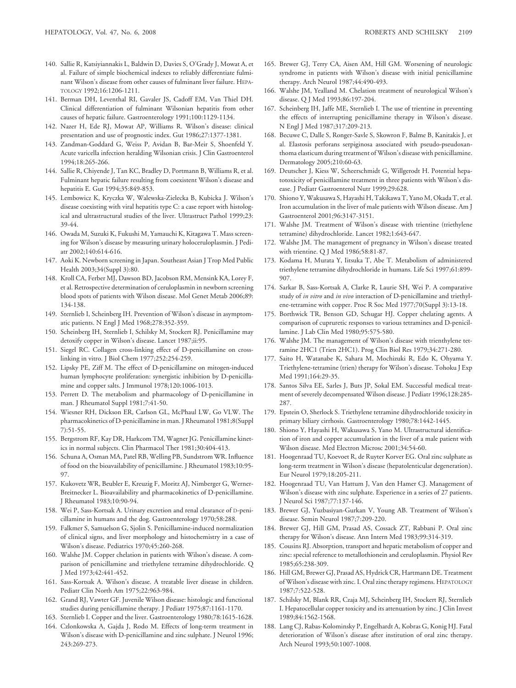- 140. Sallie R, Katsiyiannakis L, Baldwin D, Davies S, O'Grady J, Mowat A, et al. Failure of simple biochemical indexes to reliably differentiate fulminant Wilson's disease from other causes of fulminant liver failure. HEPA-TOLOGY 1992;16:1206-1211.
- 141. Berman DH, Leventhal RI, Gavaler JS, Cadoff EM, Van Thiel DH. Clinical differentiation of fulminant Wilsonian hepatitis from other causes of hepatic failure. Gastroenterology 1991;100:1129-1134.
- 142. Nazer H, Ede RJ, Mowat AP, Williams R. Wilson's disease: clinical presentation and use of prognostic index. Gut 1986;27:1377-1381.
- 143. Zandman-Goddard G, Weiss P, Avidan B, Bar-Meir S, Shoenfeld Y. Acute varicella infection heralding Wilsonian crisis. J Clin Gastroenterol 1994;18:265-266.
- 144. Sallie R, Chiyende J, Tan KC, Bradley D, Portmann B, Williams R, et al. Fulminant hepatic failure resulting from coexistent Wilson's disease and hepatitis E. Gut 1994;35:849-853.
- 145. Lembowicz K, Kryczka W, Walewska-Zielecka B, Kubicka J. Wilson's disease coexisting with viral hepatitis type C: a case report with histological and ultrastructural studies of the liver. Ultrastruct Pathol 1999;23: 39-44.
- 146. Owada M, Suzuki K, Fukushi M, Yamauchi K, Kitagawa T. Mass screening for Wilson's disease by measuring urinary holoceruloplasmin. J Pediatr 2002;140:614-616.
- 147. Aoki K. Newborn screening in Japan. Southeast Asian J Trop Med Public Health 2003;34(Suppl 3):80.
- 148. Kroll CA, Ferber MJ, Dawson BD, Jacobson RM, Mensink KA, Lorey F, et al. Retrospective determination of ceruloplasmin in newborn screening blood spots of patients with Wilson disease. Mol Genet Metab 2006;89: 134-138.
- 149. Sternlieb I, Scheinberg IH. Prevention of Wilson's disease in asymptomatic patients. N Engl J Med 1968;278:352-359.
- 150. Scheinberg IH, Sternlieb I, Schilsky M, Stockert RJ. Penicillamine may detoxify copper in Wilson's disease. Lancet 1987;ii:95.
- 151. Siegel RC. Collagen cross-linking effect of D-penicillamine on crosslinking in vitro. J Biol Chem 1977;252:254-259.
- 152. Lipsky PE, Ziff M. The effect of D-penicillamine on mitogen-induced human lymphocyte proliferation: synergistic inhibition by D-penicillamine and copper salts. J Immunol 1978;120:1006-1013.
- 153. Perrett D. The metabolism and pharmacology of D-penicillamine in man. J Rheumatol Suppl 1981;7:41-50.
- 154. Wiesner RH, Dickson ER, Carlson GL, McPhaul LW, Go VLW. The pharmacokinetics of D-penicillamine in man. J Rheumatol 1981;8(Suppl 7):51-55.
- 155. Bergstrom RF, Kay DR, Harkcom TM, Wagner JG. Penicillamine kinetics in normal subjects. Clin Pharmacol Ther 1981;30:404-413.
- 156. Schuna A, Osman MA, Patel RB, Welling PB, Sundstrom WR. Influence of food on the bioavailability of penicillamine. J Rheumatol 1983;10:95- 97.
- 157. Kukovetz WR, Beubler E, Kreuzig F, Moritz AJ, Nimberger G, Werner-Breitnecker L. Bioavailability and pharmacokinetics of D-penicillamine. J Rheumatol 1983;10:90-94.
- 158. Wei P, Sass-Kortsak A. Urinary excretion and renal clearance of D-penicillamine in humans and the dog. Gastroenterology 1970;58:288.
- 159. Falkmer S, Samuelson G, Sjolin S. Penicillamine-induced normalization of clinical signs, and liver morphology and histochemistry in a case of Wilson's disease. Pediatrics 1970;45:260-268.
- 160. Walshe JM. Copper chelation in patients with Wilson's disease. A comparison of penicillamine and triethylene tetramine dihydrochloride. Q J Med 1973;42:441-452.
- 161. Sass-Kortsak A. Wilson's disease. A treatable liver disease in children. Pediatr Clin North Am 1975;22:963-984.
- 162. Grand RJ, Vawter GF. Juvenile Wilson disease: histologic and functional studies during penicillamine therapy. J Pediatr 1975;87:1161-1170.
- 163. Sternlieb I. Copper and the liver. Gastroenterology 1980;78:1615-1628.
- 164. Czlonkowska A, Gajda J, Rodo M. Effects of long-term treatment in Wilson's disease with D-penicillamine and zinc sulphate. J Neurol 1996; 243:269-273.
- 165. Brewer GJ, Terry CA, Aisen AM, Hill GM. Worsening of neurologic syndrome in patients with Wilson's disease with initial penicillamine therapy. Arch Neurol 1987;44:490-493.
- 166. Walshe JM, Yealland M. Chelation treatment of neurological Wilson's disease. Q J Med 1993;86:197-204.
- 167. Scheinberg IH, Jaffe ME, Sternlieb I. The use of trientine in preventing the effects of interrupting penicillamine therapy in Wilson's disease. N Engl J Med 1987;317:209-213.
- 168. Becuwe C, Dalle S, Ronger-Savle S, Skowron F, Balme B, Kanitakis J, et al. Elastosis perforans serpiginosa associated with pseudo-pseudoxanthoma elasticum during treatment of Wilson's disease with penicillamine. Dermatology 2005;210:60-63.
- 169. Deutscher J, Kiess W, Scheerschmidt G, Willgerodt H. Potential hepatotoxicity of penicillamine treatment in three patients with Wilson's disease. J Pediatr Gastroenterol Nutr 1999;29:628.
- 170. Shiono Y, Wakusawa S, Hayashi H, Takikawa T, Yano M, Okada T, et al. Iron accumulation in the liver of male patients with Wilson disease. Am J Gastroenterol 2001;96:3147-3151.
- 171. Walshe JM. Treatment of Wilson's disease with trientine (triethylene tetramine) dihydrochloride. Lancet 1982;1:643-647.
- 172. Walshe JM. The management of pregnancy in Wilson's disease treated with trientine. Q J Med 1986;58:81-87.
- 173. Kodama H, Murata Y, Iitsuka T, Abe T. Metabolism of administered triethylene tetramine dihydrochloride in humans. Life Sci 1997;61:899- 907.
- 174. Sarkar B, Sass-Kortsak A, Clarke R, Laurie SH, Wei P. A comparative study of *in vitro* and *in vivo* interaction of D-penicillamine and triethylene-tetramine with copper. Proc R Soc Med 1977;70(Suppl 3):13-18.
- 175. Borthwick TR, Benson GD, Schugar HJ. Copper chelating agents. A comparison of cupruretic responses to various tetramines and D-penicillamine. J Lab Clin Med 1980;95:575-580.
- 176. Walshe JM. The management of Wilson's disease with trienthylene tetramine 2HC1 (Trien 2HC1). Prog Clin Biol Res 1979;34:271-280.
- 177. Saito H, Watanabe K, Sahara M, Mochizuki R, Edo K, Ohyama Y. Triethylene-tetramine (trien) therapy for Wilson's disease. Tohoku J Exp Med 1991;164:29-35.
- 178. Santos Silva EE, Sarles J, Buts JP, Sokal EM. Successful medical treatment of severely decompensated Wilson disease. J Pediatr 1996;128:285- 287.
- 179. Epstein O, Sherlock S. Triethylene tetramine dihydrochloride toxicity in primary biliary cirrhosis. Gastroenterology 1980;78:1442-1445.
- 180. Shiono Y, Hayashi H, Wakusawa S, Yano M. Ultrastructural identification of iron and copper accumulation in the liver of a male patient with Wilson disease. Med Electron Microsc 2001;34:54-60.
- 181. Hoogenraad TU, Koevoet R, de Ruyter Korver EG. Oral zinc sulphate as long-term treatment in Wilson's disease (hepatolenticular degeneration). Eur Neurol 1979;18:205-211.
- 182. Hoogenraad TU, Van Hattum J, Van den Hamer CJ. Management of Wilson's disease with zinc sulphate. Experience in a series of 27 patients. J Neurol Sci 1987;77:137-146.
- 183. Brewer GJ, Yuzbasiyan-Gurkan V, Young AB. Treatment of Wilson's disease. Semin Neurol 1987;7:209-220.
- 184. Brewer GJ, Hill GM, Prasad AS, Cossack ZT, Rabbani P. Oral zinc therapy for Wilson's disease. Ann Intern Med 1983;99:314-319.
- 185. Cousins RJ. Absorption, transport and hepatic metabolism of copper and zinc: special reference to metallothionein and ceruloplasmin. Physiol Rev 1985;65:238-309.
- 186. Hill GM, Brewer GJ, Prasad AS, Hydrick CR, Hartmann DE. Treatment of Wilson's disease with zinc. I. Oral zinc therapy regimens. HEPATOLOGY 1987;7:522-528.
- 187. Schilsky M, Blank RR, Czaja MJ, Scheinberg IH, Stockert RJ, Sternlieb I. Hepatocellular copper toxicity and its attenuation by zinc. J Clin Invest 1989;84:1562-1568.
- 188. Lang CJ, Rabas-Kolominsky P, Engelhardt A, Kobras G, Konig HJ. Fatal deterioration of Wilson's disease after institution of oral zinc therapy. Arch Neurol 1993;50:1007-1008.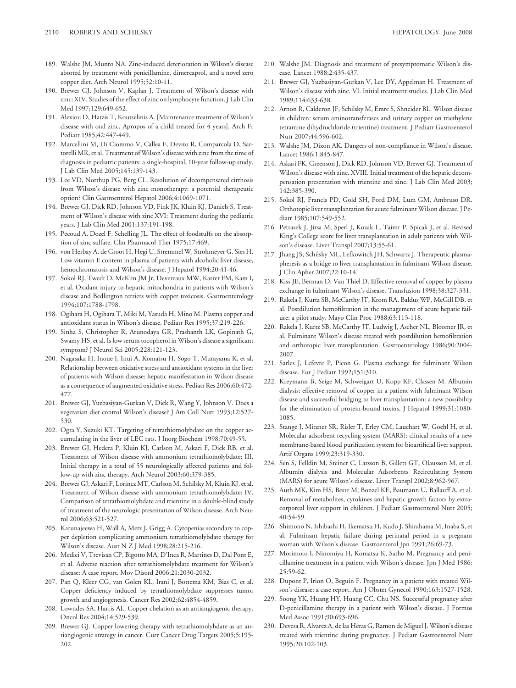- 189. Walshe JM, Munro NA. Zinc-induced deterioration in Wilson's disease aborted by treatment with penicillamine, dimercaprol, and a novel zero copper diet. Arch Neurol 1995;52:10-11.
- 190. Brewer GJ, Johnson V, Kaplan J. Treatment of Wilson's disease with zinc: XIV. Studies of the effect of zinc on lymphocyte function. J Lab Clin Med 1997;129:649-652.
- 191. Alexiou D, Hatzis T, Koutselinis A. [Maintenance treatment of Wilson's disease with oral zinc. Apropos of a child treated for 4 years]. Arch Fr Pediatr 1985;42:447-449.
- 192. Marcellini M, Di Ciommo V, Callea F, Devito R, Comparcola D, Sartorelli MR, et al. Treatment of Wilson's disease with zinc from the time of diagnosis in pediatric patients: a single-hospital, 10-year follow-up study. J Lab Clin Med 2005;145:139-143.
- 193. Lee VD, Northup PG, Berg CL. Resolution of decompensated cirrhosis from Wilson's disease with zinc monotherapy: a potential therapeutic option? Clin Gastroenterol Hepatol 2006;4:1069-1071.
- 194. Brewer GJ, Dick RD, Johnson VD, Fink JK, Kluin KJ, Daniels S. Treatment of Wilson's disease with zinc XVI: Treatment during the pediatric years. J Lab Clin Med 2001;137:191-198.
- 195. Pecoud A, Dozel F, Schelling JL. The effect of foodstuffs on the absorption of zinc sulfate. Clin Pharmacol Ther 1975;17:469.
- 196. von Herbay A, de Groot H, Hegi U, Stremmel W, Strohmeyer G, Sies H. Low vitamin E content in plasma of patients with alcoholic liver disease, hemochromatosis and Wilson's disease. J Hepatol 1994;20:41-46.
- 197. Sokol RJ, Twedt D, McKim JM Jr, Devereaux MW, Karrer FM, Kam I, et al. Oxidant injury to hepatic mitochondria in patients with Wilson's disease and Bedlington terriers with copper toxicosis. Gastroenterology 1994;107:1788-1798.
- 198. Ogihara H, Ogihara T, Miki M, Yasuda H, Mino M. Plasma copper and antioxidant status in Wilson's disease. Pediatr Res 1995;37:219-226.
- 199. Sinha S, Christopher R, Arunodaya GR, Prashanth LK, Gopinath G, Swamy HS, et al. Is low serum tocopherol in Wilson's disease a significant symptom? J Neurol Sci 2005;228:121-123.
- 200. Nagasaka H, Inoue I, Inui A, Komatsu H, Sogo T, Murayama K, et al. Relationship between oxidative stress and antioxidant systems in the liver of patients with Wilson disease: hepatic manifestation in Wilson disease as a consequence of augmented oxidative stress. Pediatr Res 2006;60:472- 477.
- 201. Brewer GJ, Yuzbasiyan-Gurkan V, Dick R, Wang Y, Johnson V. Does a vegetarian diet control Wilson's disease? J Am Coll Nutr 1993;12:527- 530.
- 202. Ogra Y, Suzuki KT. Targeting of tetrathiomolybdate on the copper accumulating in the liver of LEC rats. J Inorg Biochem 1998;70:49-55.
- 203. Brewer GJ, Hedera P, Kluin KJ, Carlson M, Askari F, Dick RB, et al. Treatment of Wilson disease with ammonium tetrathiomolybdate: III. Initial therapy in a total of 55 neurologically affected patients and follow-up with zinc therapy. Arch Neurol 2003;60:379-385.
- 204. Brewer GJ, Askari F, Lorincz MT, Carlson M, Schilsky M, Kluin KJ, et al. Treatment of Wilson disease with ammonium tetrathiomolybdate: IV. Comparison of tetrathiomolybdate and trientine in a double-blind study of treatment of the neurologic presentation of Wilson disease. Arch Neurol 2006;63:521-527.
- 205. Karunajeewa H, Wall A, Metz J, Grigg A. Cytopenias secondary to copper depletion complicating ammonium tetrathiomolybdate therapy for Wilson's disease. Aust N Z J Med 1998;28:215-216.
- 206. Medici V, Trevisan CP, Bigotto MA, D'Inca R, Martines D, Dal Pont E, et al. Adverse reaction after tetrathiomolybdate treatment for Wilson's disease: A case report. Mov Disord 2006;21:2030-2032.
- 207. Pan Q, Kleer CG, van Golen KL, Irani J, Bottema KM, Bias C, et al. Copper deficiency induced by tetrathiomolybdate suppresses tumor growth and angiogenesis. Cancer Res 2002;62:4854-4859.
- 208. Lowndes SA, Harris AL. Copper chelation as an antiangiogenic therapy. Oncol Res 2004;14:529-539.
- 209. Brewer GJ. Copper lowering therapy with tetrathiomolybdate as an antiangiogenic strategy in cancer. Curr Cancer Drug Targets 2005;5:195- 202.
- 210. Walshe JM. Diagnosis and treatment of presymptomatic Wilson's disease. Lancet 1988;2:435-437.
- 211. Brewer GJ, Yuzbasiyan-Gurkan V, Lee DY, Appelman H. Treatment of Wilson's disease with zinc. VI. Initial treatment studies. J Lab Clin Med 1989;114:633-638.
- 212. Arnon R, Calderon JF, Schilsky M, Emre S, Shneider BL. Wilson disease in children: serum aminotransferases and urinary copper on triethylene tetramine dihydrochloride (trientine) treatment. J Pediatr Gastroenterol Nutr 2007;44:596-602.
- 213. Walshe JM, Dixon AK. Dangers of non-compliance in Wilson's disease. Lancet 1986;1:845-847.
- 214. Askari FK, Greenson J, Dick RD, Johnson VD, Brewer GJ. Treatment of Wilson's disease with zinc. XVIII. Initial treatment of the hepatic decompensation presentation with trientine and zinc. J Lab Clin Med 2003; 142:385-390.
- 215. Sokol RJ, Francis PD, Gold SH, Ford DM, Lum GM, Ambruso DR. Orthotopic liver transplantation for acute fulminant Wilson disease. J Pediatr 1985;107:549-552.
- 216. Petrasek J, Jirsa M, Sperl J, Kozak L, Taimr P, Spicak J, et al. Revised King's College score for liver transplantation in adult patients with Wilson's disease. Liver Transpl 2007;13:55-61.
- 217. Jhang JS, Schilsky ML, Lefkowitch JH, Schwartz J. Therapeutic plasmapheresis as a bridge to liver transplantation in fulminant Wilson disease. J Clin Apher 2007;22:10-14.
- 218. Kiss JE, Berman D, Van Thiel D. Effective removal of copper by plasma exchange in fulminant Wilson's disease. Transfusion 1998;38:327-331.
- 219. Rakela J, Kurtz SB, McCarthy JT, Krom RA, Baldus WP, McGill DB, et al. Postdilution hemofiltration in the management of acute hepatic failure: a pilot study. Mayo Clin Proc 1988;63:113-118.
- 220. Rakela J, Kurtz SB, McCarthy JT, Ludwig J, Ascher NL, Bloomer JR, et al. Fulminant Wilson's disease treated with postdilution hemofiltration and orthotopic liver transplantation. Gastroenterology 1986;90:2004- 2007.
- 221. Sarles J, Lefevre P, Picon G. Plasma exchange for fulminant Wilson disease. Eur J Pediatr 1992;151:310.
- 222. Kreymann B, Seige M, Schweigart U, Kopp KF, Classen M. Albumin dialysis: effective removal of copper in a patient with fulminant Wilson disease and successful bridging to liver transplantation: a new possibility for the elimination of protein-bound toxins. J Hepatol 1999;31:1080- 1085.
- 223. Stange J, Mitzner SR, Risler T, Erley CM, Lauchart W, Goehl H, et al. Molecular adsorbent recycling system (MARS): clinical results of a new membrane-based blood purification system for bioartificial liver support. Artif Organs 1999;23:319-330.
- 224. Sen S, Felldin M, Steiner C, Larsson B, Gillett GT, Olausson M, et al. Albumin dialysis and Molecular Adsorbents Recirculating System (MARS) for acute Wilson's disease. Liver Transpl 2002;8:962-967.
- 225. Auth MK, Kim HS, Beste M, Bonzel KE, Baumann U, Ballauff A, et al. Removal of metabolites, cytokines and hepatic growth factors by extracorporeal liver support in children. J Pediatr Gastroenterol Nutr 2005; 40:54-59.
- 226. Shimono N, Ishibashi H, Ikematsu H, Kudo J, Shirahama M, Inaba S, et al. Fulminant hepatic failure during perinatal period in a pregnant woman with Wilson's disease. Gastroenterol Jpn 1991;26:69-73.
- 227. Morimoto I, Ninomiya H, Komatsu K, Satho M. Pregnancy and penicillamine treatment in a patient with Wilson's disease. Jpn J Med 1986; 25:59-62.
- 228. Dupont P, Irion O, Beguin F. Pregnancy in a patient with treated Wilson's disease: a case report. Am J Obstet Gynecol 1990;163:1527-1528.
- 229. Soong YK, Huang HY, Huang CC, Chu NS. Successful pregnancy after D-penicillamine therapy in a patient with Wilson's disease. J Formos Med Assoc 1991;90:693-696.
- 230. Devesa R, Alvarez A, de las Heras G, Ramon de Miguel J. Wilson's disease treated with trientine during pregnancy. J Pediatr Gastroenterol Nutr 1995;20:102-103.